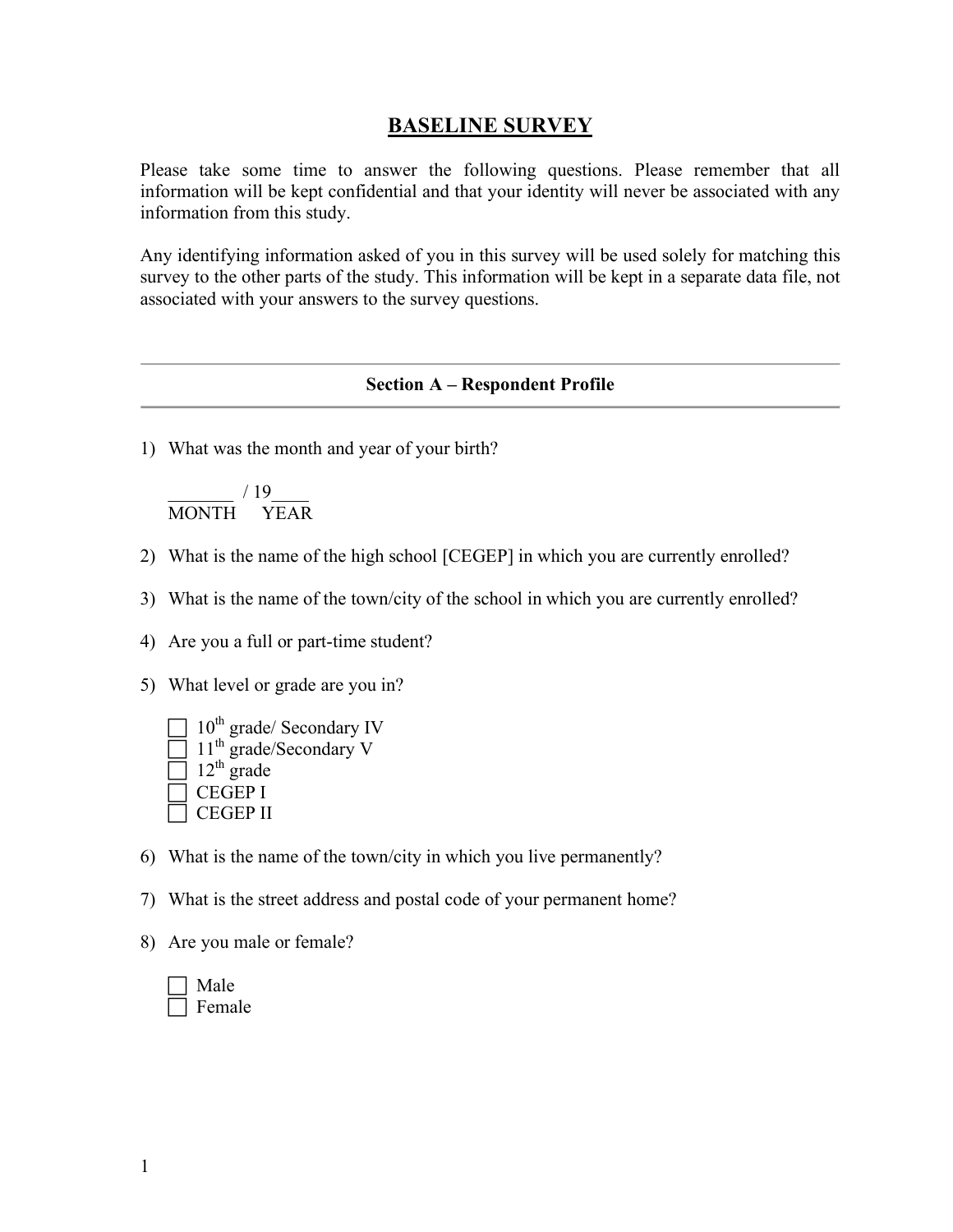#### **BASELINE SURVEY**

Please take some time to answer the following questions. Please remember that all information will be kept confidential and that your identity will never be associated with any information from this study.

Any identifying information asked of you in this survey will be used solely for matching this survey to the other parts of the study. This information will be kept in a separate data file, not associated with your answers to the survey questions.

#### **Section A – Respondent Profile**

1) What was the month and year of your birth?

 $/19$ MONTH YEAR

- 2) What is the name of the high school [CEGEP] in which you are currently enrolled?
- 3) What is the name of the town/city of the school in which you are currently enrolled?
- 4) Are you a full or part-time student?
- 5) What level or grade are you in?



- 6) What is the name of the town/city in which you live permanently?
- 7) What is the street address and postal code of your permanent home?
- 8) Are you male or female?

| Male   |
|--------|
| Female |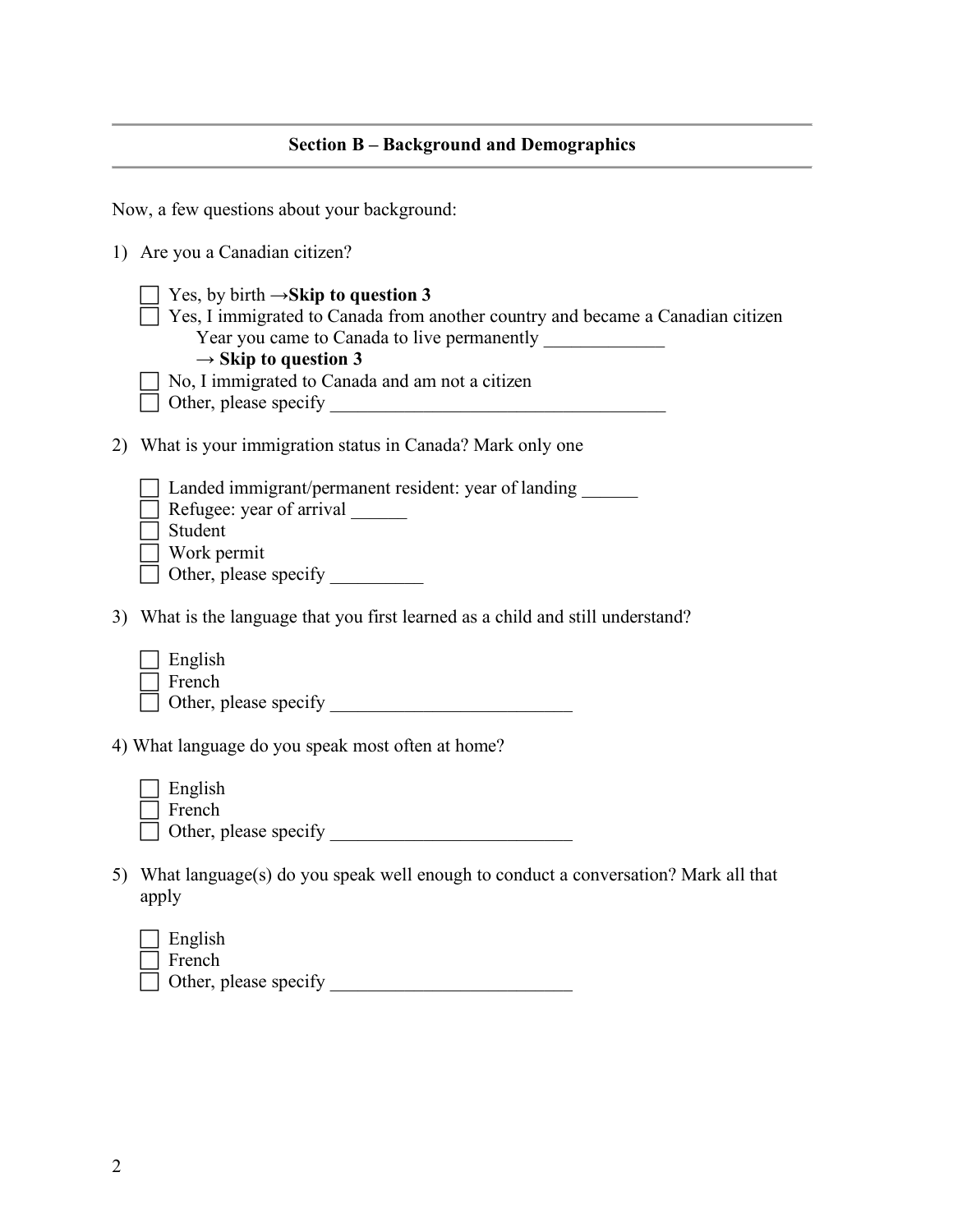#### **Section B – Background and Demographics**

Now, a few questions about your background:

1) Are you a Canadian citizen?

| Yes, by birth $\rightarrow$ Skip to question 3<br>Yes, I immigrated to Canada from another country and became a Canadian citizen<br>$\rightarrow$ Skip to question 3 |
|----------------------------------------------------------------------------------------------------------------------------------------------------------------------|
| No, I immigrated to Canada and am not a citizen                                                                                                                      |
| 2) What is your immigration status in Canada? Mark only one                                                                                                          |
| Landed immigrant/permanent resident: year of landing ______<br>Refugee: year of arrival<br>Student<br>Work permit<br>Other, please specify                           |
| 3) What is the language that you first learned as a child and still understand?                                                                                      |
| English<br>French<br>Other, please specify                                                                                                                           |
| 4) What language do you speak most often at home?                                                                                                                    |
| English<br>French                                                                                                                                                    |
| 5) What language(s) do you speak well enough to conduct a conversation? Mark all that<br>apply                                                                       |
| English<br>French                                                                                                                                                    |

 $\Box$  Other, please specify  $\Box$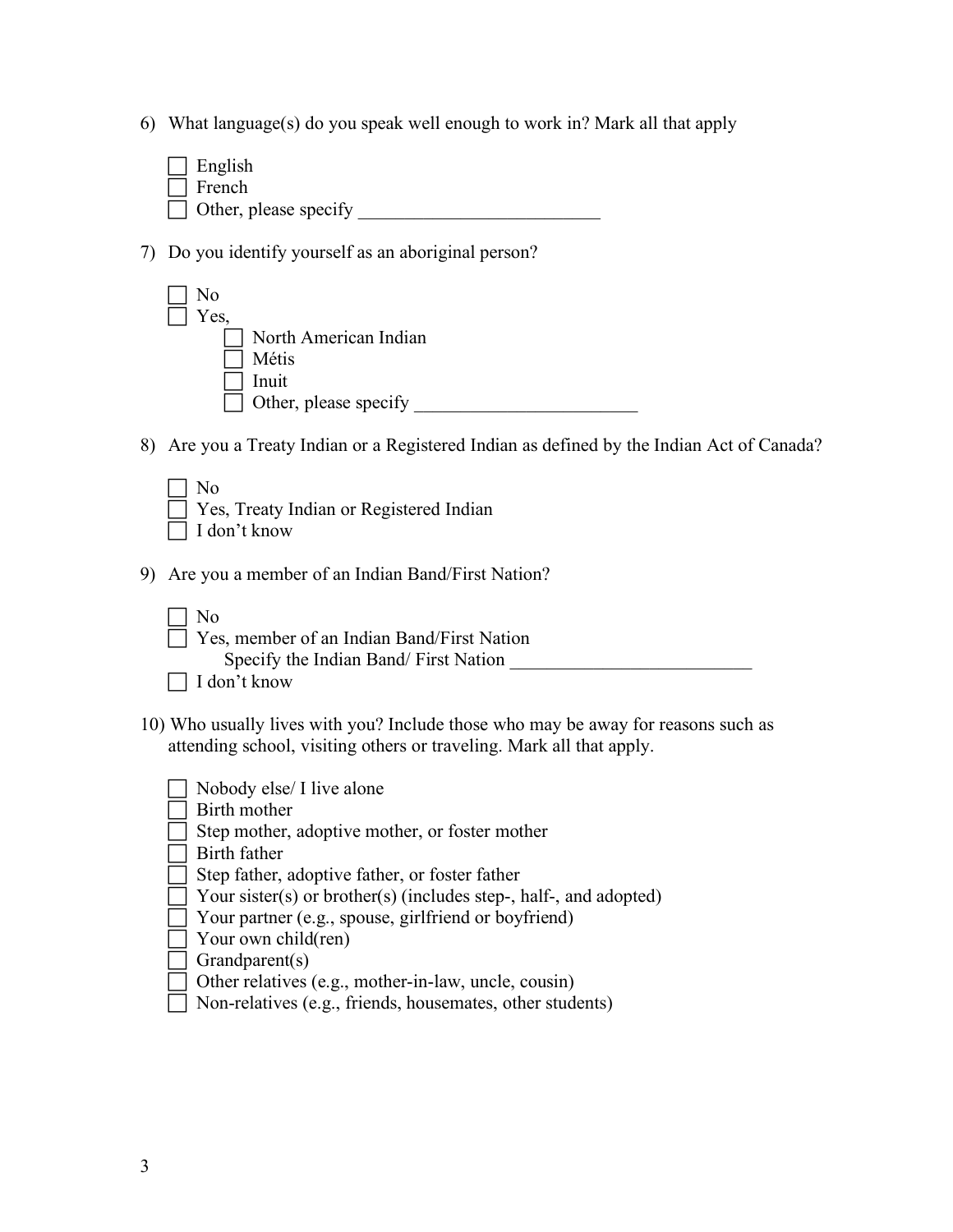6) What language(s) do you speak well enough to work in? Mark all that apply

|     | English<br>French<br>Other, please specify                                                                                                                                                                                                                                                                                                                                                  |
|-----|---------------------------------------------------------------------------------------------------------------------------------------------------------------------------------------------------------------------------------------------------------------------------------------------------------------------------------------------------------------------------------------------|
| 7). | Do you identify yourself as an aboriginal person?                                                                                                                                                                                                                                                                                                                                           |
|     | No<br>Yes,<br>North American Indian<br>Métis<br>Inuit<br>Other, please specify                                                                                                                                                                                                                                                                                                              |
|     | 8) Are you a Treaty Indian or a Registered Indian as defined by the Indian Act of Canada?                                                                                                                                                                                                                                                                                                   |
|     | N <sub>0</sub><br>Yes, Treaty Indian or Registered Indian<br>I don't know                                                                                                                                                                                                                                                                                                                   |
| 9). | Are you a member of an Indian Band/First Nation?                                                                                                                                                                                                                                                                                                                                            |
|     | No<br>Yes, member of an Indian Band/First Nation<br>Specify the Indian Band/First Nation<br>I don't know                                                                                                                                                                                                                                                                                    |
|     | 10) Who usually lives with you? Include those who may be away for reasons such as<br>attending school, visiting others or traveling. Mark all that apply.                                                                                                                                                                                                                                   |
|     | Nobody else/ I live alone<br>Birth mother<br>Step mother, adoptive mother, or foster mother<br>Birth father<br>Step father, adoptive father, or foster father<br>Your sister(s) or brother(s) (includes step-, half-, and adopted)<br>Your partner (e.g., spouse, girlfriend or boyfriend)<br>Your own child(ren)<br>Grandparent(s)<br>Other relatives (e.g., mother-in-law, uncle, cousin) |
|     | Non-relatives (e.g., friends, housemates, other students)                                                                                                                                                                                                                                                                                                                                   |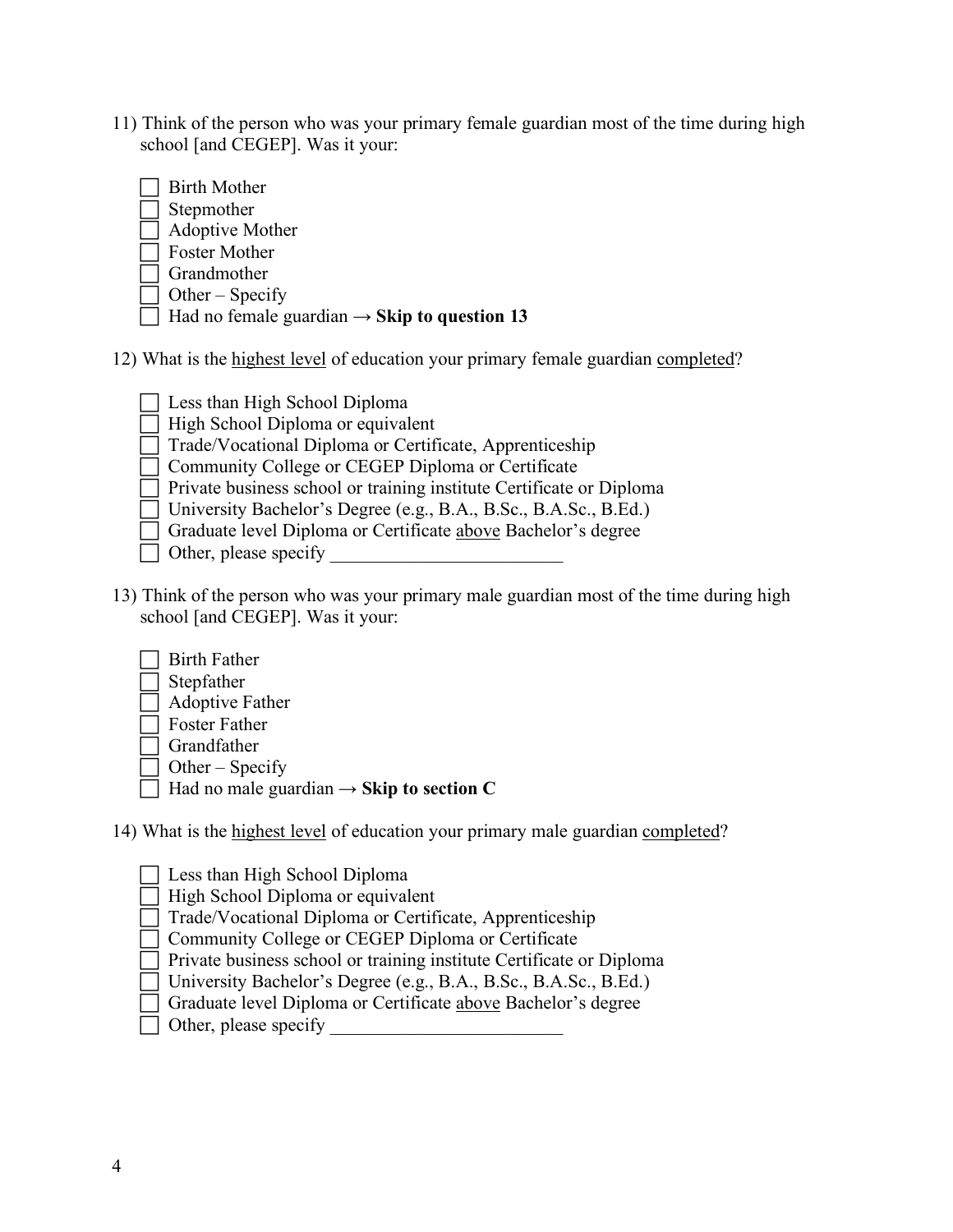- 11) Think of the person who was your primary female guardian most of the time during high school [and CEGEP]. Was it your:
	- Birth Mother Stepmother Adoptive Mother Foster Mother Grandmother
	- $\Box$  Other Specify
	- $\Box$  Had no female guardian  $\rightarrow$  **Skip to question 13**
- 12) What is the highest level of education your primary female guardian completed?
	- Less than High School Diploma
	- $\overline{\hspace{0.1cm}}$  High School Diploma or equivalent
	- Trade/Vocational Diploma or Certificate, Apprenticeship
	- Community College or CEGEP Diploma or Certificate
	- Private business school or training institute Certificate or Diploma
	- University Bachelor's Degree (e.g., B.A., B.Sc., B.A.Sc., B.Ed.)
	- Graduate level Diploma or Certificate above Bachelor's degree
	- $\Box$  Other, please specify
- 13) Think of the person who was your primary male guardian most of the time during high school [and CEGEP]. Was it your:
	- Birth Father
	- Stepfather
	- Adoptive Father
	- Foster Father
	- Grandfather
	- $\Box$  Other Specify
	- $\Box$  Had no male guardian  $\rightarrow$  **Skip to section** C
- 14) What is the highest level of education your primary male guardian completed?
	- Less than High School Diploma
	- High School Diploma or equivalent
	- Trade/Vocational Diploma or Certificate, Apprenticeship
	- Community College or CEGEP Diploma or Certificate
	- Private business school or training institute Certificate or Diploma
	- University Bachelor's Degree (e.g., B.A., B.Sc., B.A.Sc., B.Ed.)
	- Graduate level Diploma or Certificate above Bachelor's degree
	- Other, please specify \_\_\_\_\_\_\_\_\_\_\_\_\_\_\_\_\_\_\_\_\_\_\_\_\_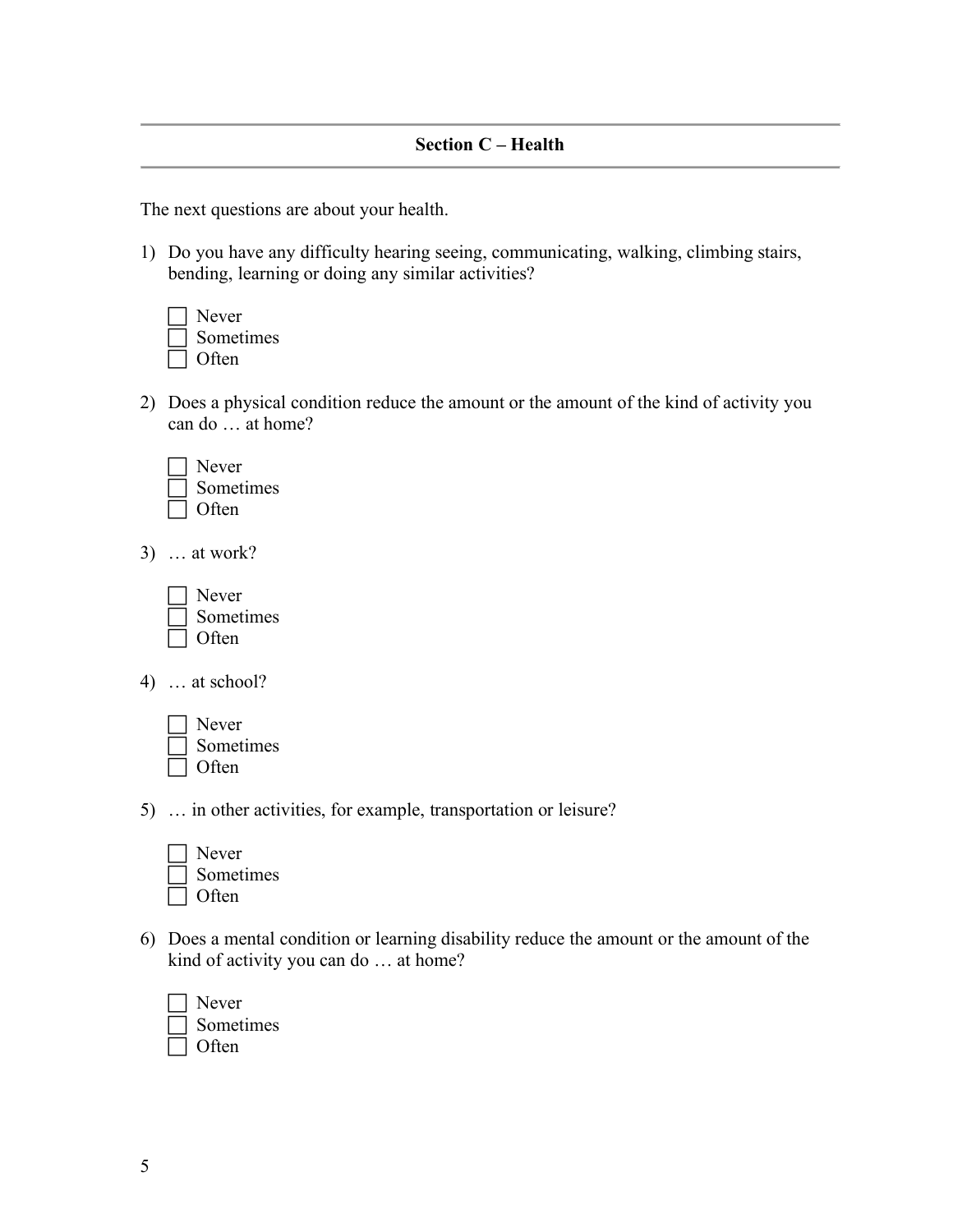The next questions are about your health.

1) Do you have any difficulty hearing seeing, communicating, walking, climbing stairs, bending, learning or doing any similar activities?

| Never     |
|-----------|
| Sometimes |
| Often     |

2) Does a physical condition reduce the amount or the amount of the kind of activity you can do … at home?



3) … at work?

| Never     |
|-----------|
| Sometimes |
| Often     |

4) … at school?

| Never     |
|-----------|
| Sometimes |
| Often)    |

5) … in other activities, for example, transportation or leisure?

| Never     |
|-----------|
| Sometimes |
| Often     |

6) Does a mental condition or learning disability reduce the amount or the amount of the kind of activity you can do … at home?

| Never     |
|-----------|
| Sometimes |
| Offen)    |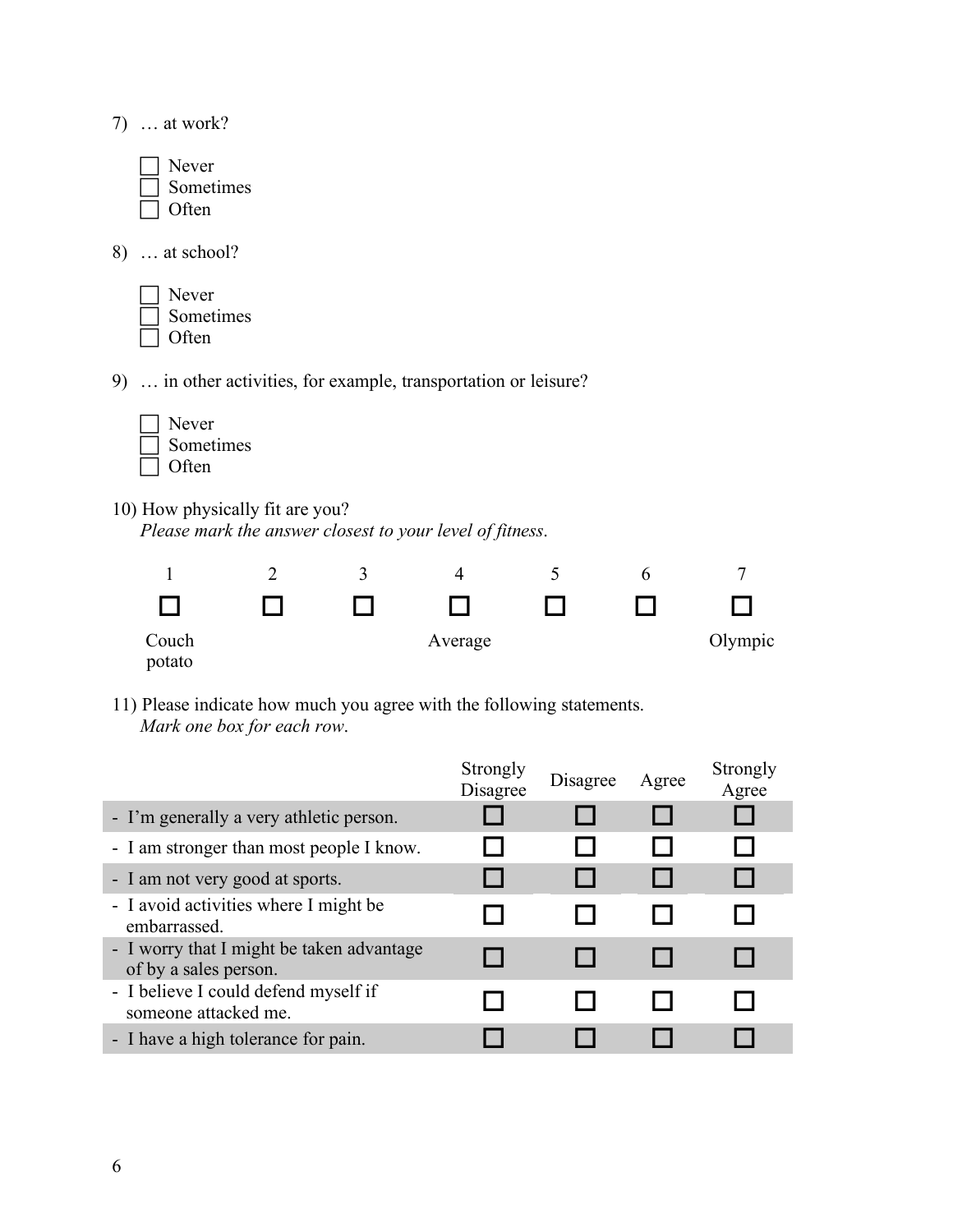| 1                                                                                           | 2 | 3 | 4 | 5 | 6 | 7 |
|---------------------------------------------------------------------------------------------|---|---|---|---|---|---|
| 10) How physically fit are you?<br>Please mark the answer closest to your level of fitness. |   |   |   |   |   |   |
| Never<br>Sometimes<br>Often                                                                 |   |   |   |   |   |   |
| 9)  in other activities, for example, transportation or leisure?                            |   |   |   |   |   |   |
| Never<br>Sometimes<br>Often                                                                 |   |   |   |   |   |   |
| $8)$ at school?                                                                             |   |   |   |   |   |   |
| Never<br>Sometimes<br>Often                                                                 |   |   |   |   |   |   |
|                                                                                             |   |   |   |   |   |   |



Couch potato

11) Please indicate how much you agree with the following statements. *Mark one box for each row*.

|                                                                    | Strongly<br>Disagree | Disagree | Agree | Strongly<br>Agree |
|--------------------------------------------------------------------|----------------------|----------|-------|-------------------|
| - I'm generally a very athletic person.                            |                      |          |       |                   |
| - I am stronger than most people I know.                           |                      |          |       |                   |
| - I am not very good at sports.                                    |                      |          |       |                   |
| - I avoid activities where I might be<br>embarrassed.              |                      |          |       |                   |
| - I worry that I might be taken advantage<br>of by a sales person. |                      |          |       |                   |
| - I believe I could defend myself if<br>someone attacked me.       |                      |          |       |                   |
| - I have a high tolerance for pain.                                |                      |          |       |                   |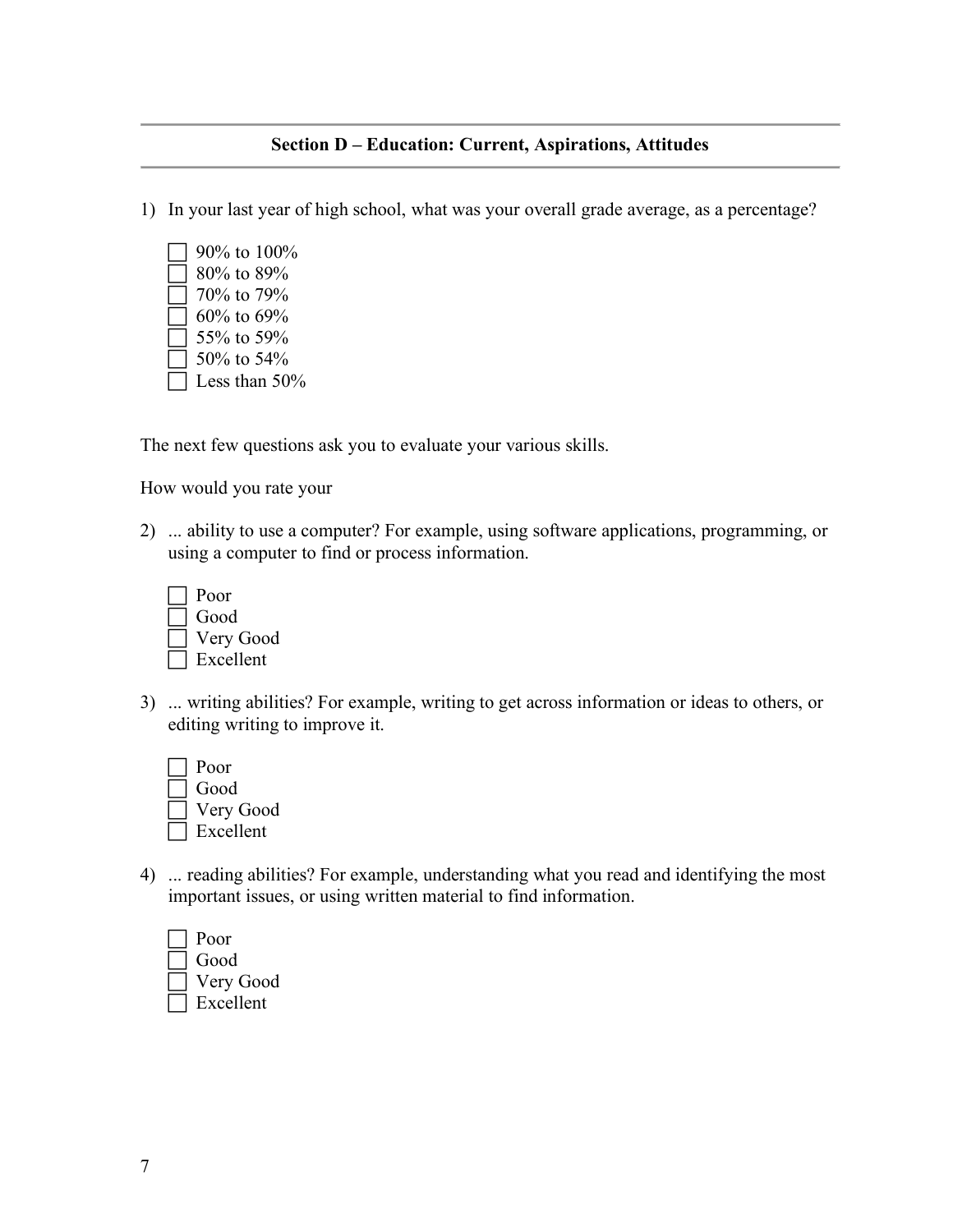#### **Section D – Education: Current, Aspirations, Attitudes**

1) In your last year of high school, what was your overall grade average, as a percentage?

| 90% to 100%      |
|------------------|
| 80% to 89%       |
| 70% to 79%       |
| $60\%$ to $69\%$ |
| 55% to 59%       |
| 50% to 54%       |
| Less than 50%    |

The next few questions ask you to evaluate your various skills.

How would you rate your

2) ... ability to use a computer? For example, using software applications, programming, or using a computer to find or process information.



3) ... writing abilities? For example, writing to get across information or ideas to others, or editing writing to improve it.



4) ... reading abilities? For example, understanding what you read and identifying the most important issues, or using written material to find information.

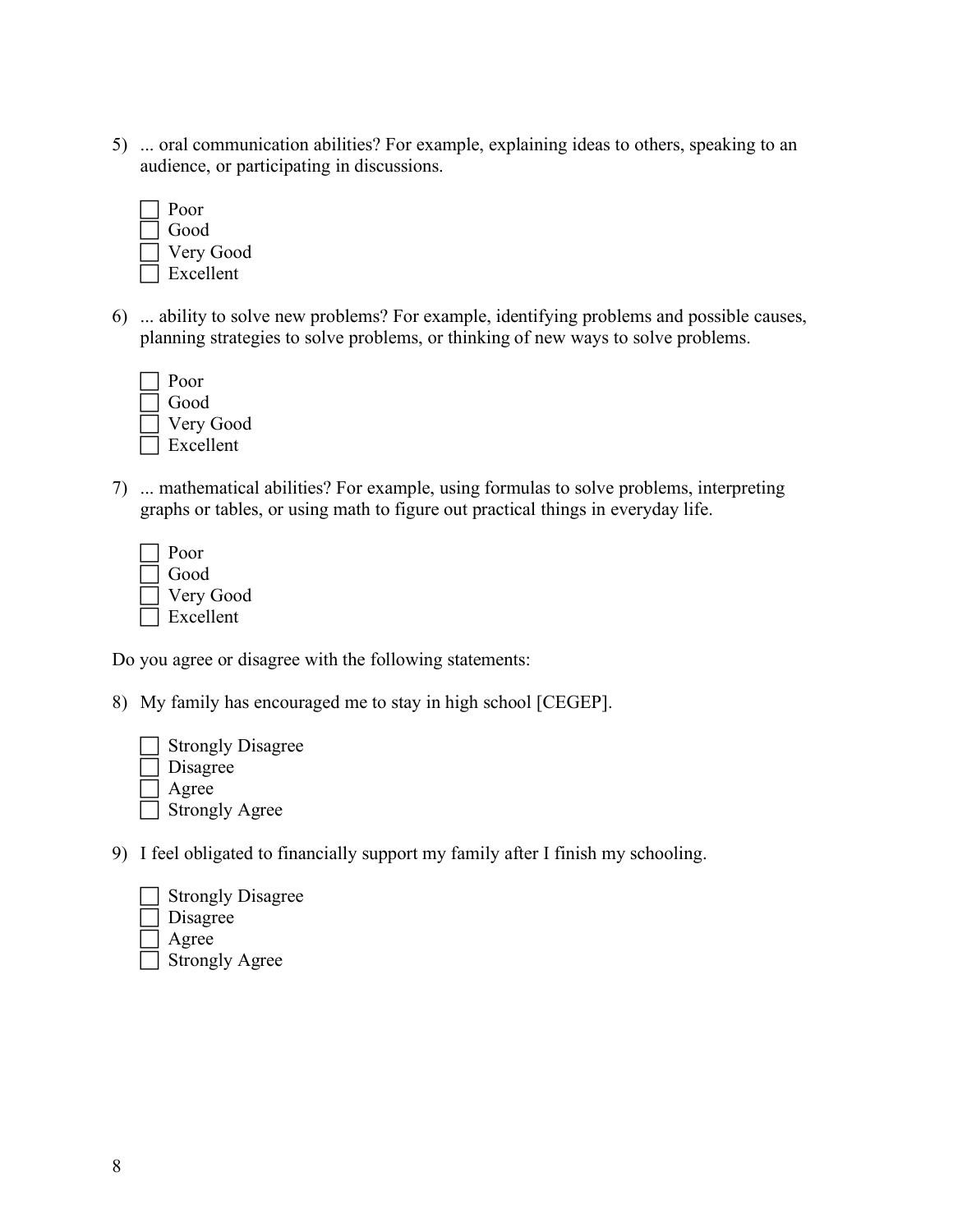- 5) ... oral communication abilities? For example, explaining ideas to others, speaking to an audience, or participating in discussions.
	- Poor Good Very Good Excellent
- 6) ... ability to solve new problems? For example, identifying problems and possible causes, planning strategies to solve problems, or thinking of new ways to solve problems.

| Poor      |
|-----------|
| Good      |
| Very Good |
| Excellent |

7) ... mathematical abilities? For example, using formulas to solve problems, interpreting graphs or tables, or using math to figure out practical things in everyday life.

| Poor      |
|-----------|
| Good      |
| Very Good |
| Excellent |

Do you agree or disagree with the following statements:

8) My family has encouraged me to stay in high school [CEGEP].

| <b>Strongly Disagree</b> |
|--------------------------|
| Disagree                 |
| Agree                    |
| <b>Strongly Agree</b>    |

9) I feel obligated to financially support my family after I finish my schooling.

| <b>Strongly Disagree</b> |
|--------------------------|
| Disagree                 |
| Agree                    |
| <b>Strongly Agree</b>    |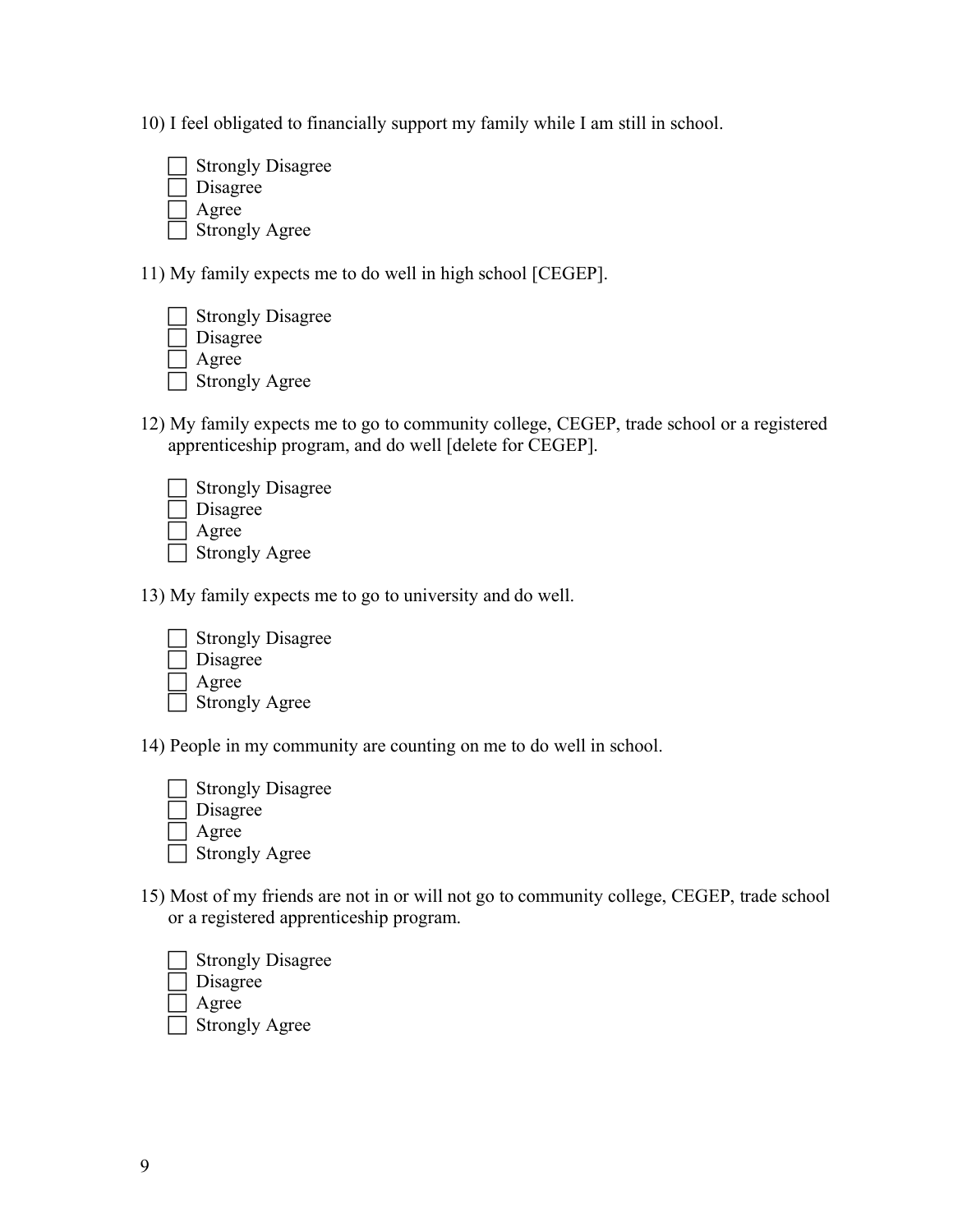10) I feel obligated to financially support my family while I am still in school.

| <b>Strongly Disagree</b> |
|--------------------------|
| Disagree                 |
| Agree                    |
| <b>Strongly Agree</b>    |

11) My family expects me to do well in high school [CEGEP].

| <b>Strongly Disagree</b> |
|--------------------------|
| Disagree                 |
| Agree                    |
| <b>Strongly Agree</b>    |

12) My family expects me to go to community college, CEGEP, trade school or a registered apprenticeship program, and do well [delete for CEGEP].

| <b>Strongly Disagree</b> |
|--------------------------|
| Disagree                 |
| Agree                    |
| <b>Strongly Agree</b>    |

13) My family expects me to go to university and do well.

| <b>Strongly Disagree</b> |
|--------------------------|
| Disagree                 |
| Agree                    |
| <b>Strongly Agree</b>    |

14) People in my community are counting on me to do well in school.

| <b>Strongly Disagree</b> |
|--------------------------|
| Disagree                 |
| Agree                    |
| <b>Strongly Agree</b>    |

15) Most of my friends are not in or will not go to community college, CEGEP, trade school or a registered apprenticeship program.

| <b>Strongly Disagree</b> |
|--------------------------|
| Disagree                 |
| Agree                    |
| <b>Strongly Agree</b>    |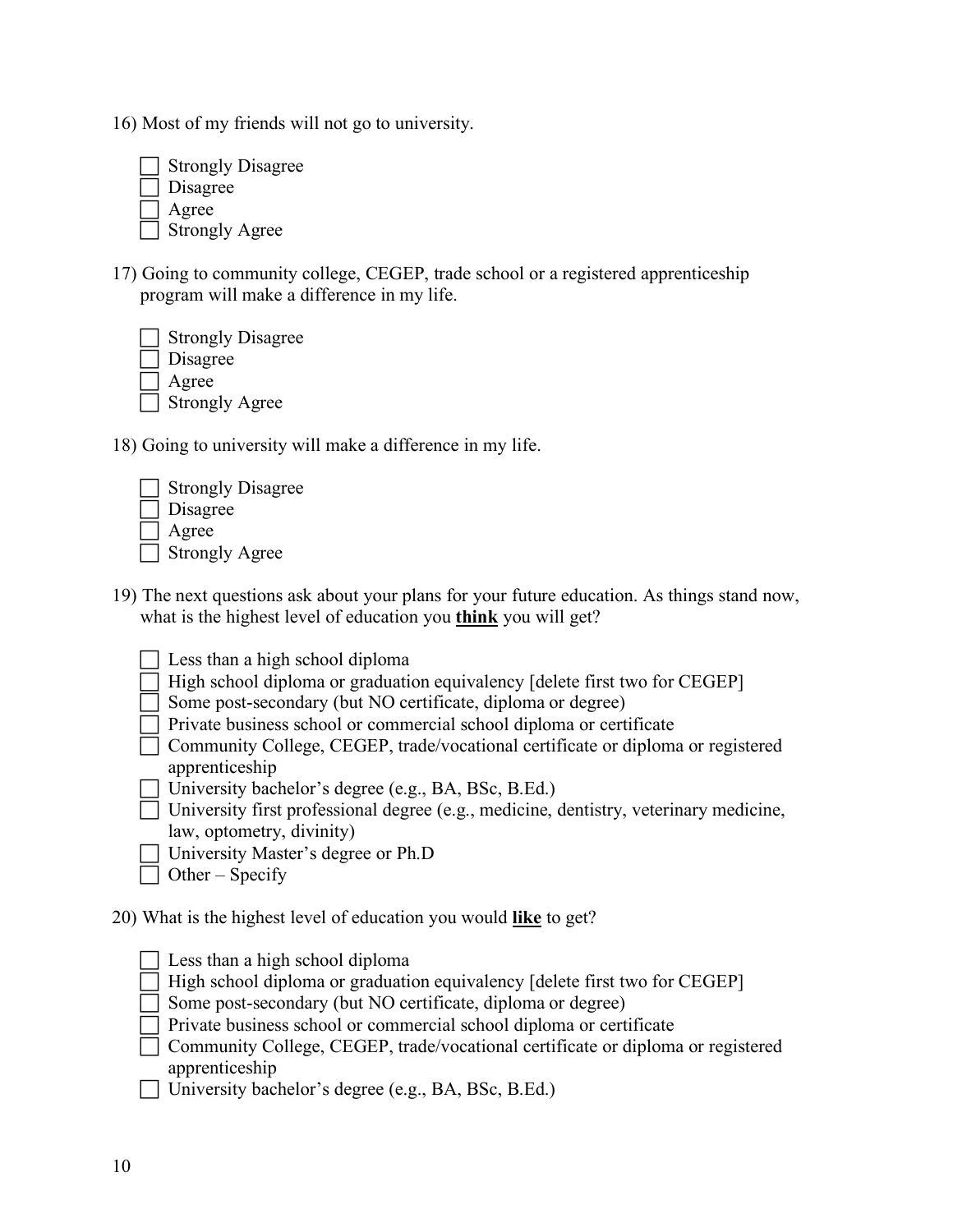16) Most of my friends will not go to university.

| <b>Strongly Disagree</b> |
|--------------------------|
| Disagree                 |
| Agree                    |
| <b>Strongly Agree</b>    |

17) Going to community college, CEGEP, trade school or a registered apprenticeship program will make a difference in my life.

| <b>Strongly Disagree</b> |
|--------------------------|
| Disagree                 |
| Agree                    |
| <b>Strongly Agree</b>    |

18) Going to university will make a difference in my life.

| <b>Strongly Disagree</b> |
|--------------------------|
| Disagree                 |
| Agree                    |
| <b>Strongly Agree</b>    |

19) The next questions ask about your plans for your future education. As things stand now, what is the highest level of education you **think** you will get?

Less than a high school diploma

- High school diploma or graduation equivalency [delete first two for CEGEP]
- Some post-secondary (but NO certificate, diploma or degree)
- $\Box$  Private business school or commercial school diploma or certificate
- Community College, CEGEP, trade/vocational certificate or diploma or registered apprenticeship
- University bachelor's degree (e.g., BA, BSc, B.Ed.)
- $\Box$  University first professional degree (e.g., medicine, dentistry, veterinary medicine, law, optometry, divinity)
- University Master's degree or Ph.D
- $\Box$  Other Specify

20) What is the highest level of education you would **like** to get?

- $\Box$  Less than a high school diploma
- High school diploma or graduation equivalency [delete first two for CEGEP]
- $\Box$  Some post-secondary (but NO certificate, diploma or degree)
- Private business school or commercial school diploma or certificate
- Community College, CEGEP, trade/vocational certificate or diploma or registered apprenticeship
- University bachelor's degree (e.g., BA, BSc, B.Ed.)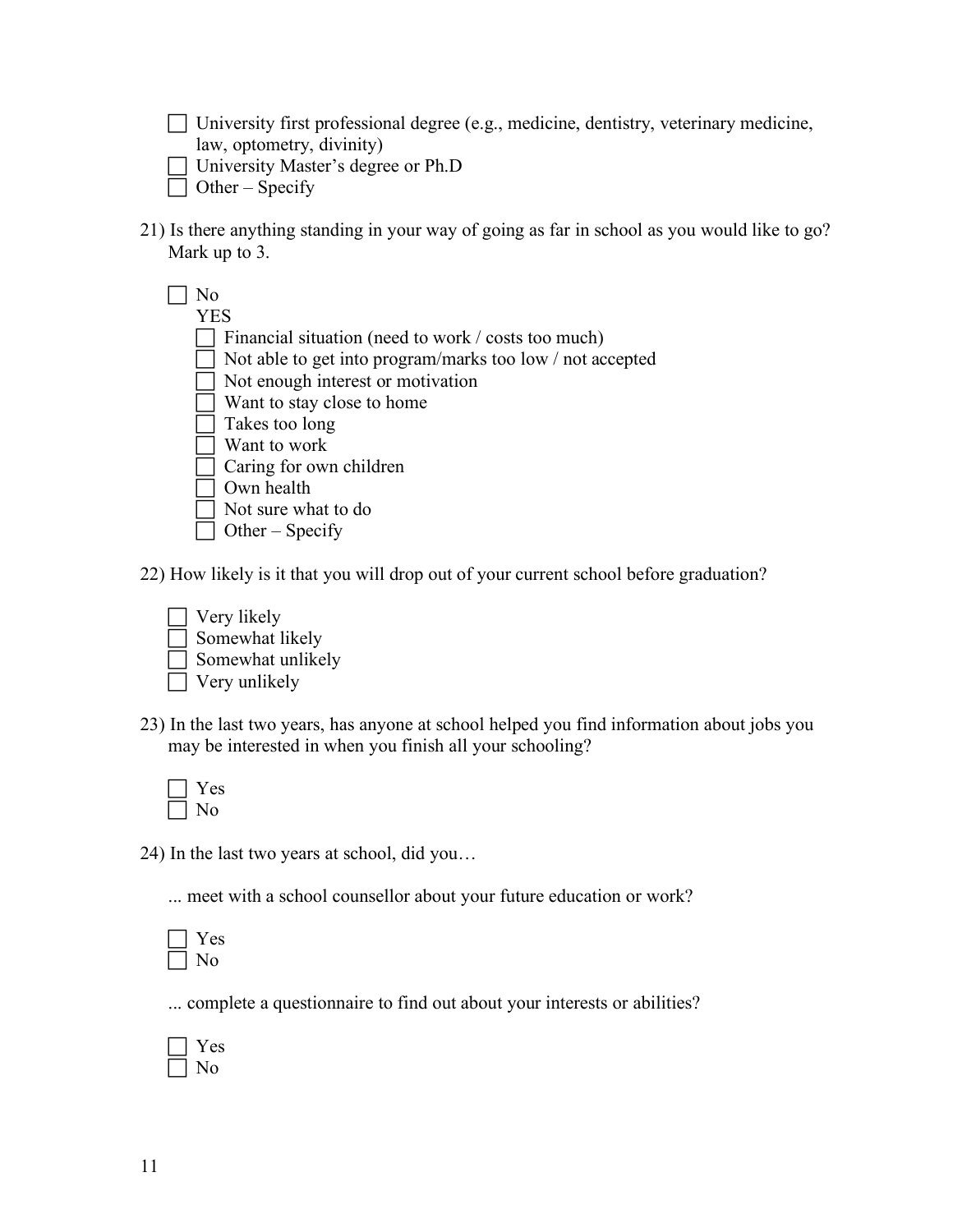$\Box$  University first professional degree (e.g., medicine, dentistry, veterinary medicine, law, optometry, divinity)

- University Master's degree or Ph.D
- $\Box$  Other Specify
- 21) Is there anything standing in your way of going as far in school as you would like to go? Mark up to 3.
	- $\Box$  No YES  $\Box$  Financial situation (need to work / costs too much) Not able to get into program/marks too low / not accepted  $\Box$  Not enough interest or motivation Want to stay close to home  $\Box$  Takes too long Want to work Caring for own children Own health Not sure what to do Other – Specify

22) How likely is it that you will drop out of your current school before graduation?



23) In the last two years, has anyone at school helped you find information about jobs you may be interested in when you finish all your schooling?

24) In the last two years at school, did you…

... meet with a school counsellor about your future education or work?

... complete a questionnaire to find out about your interests or abilities?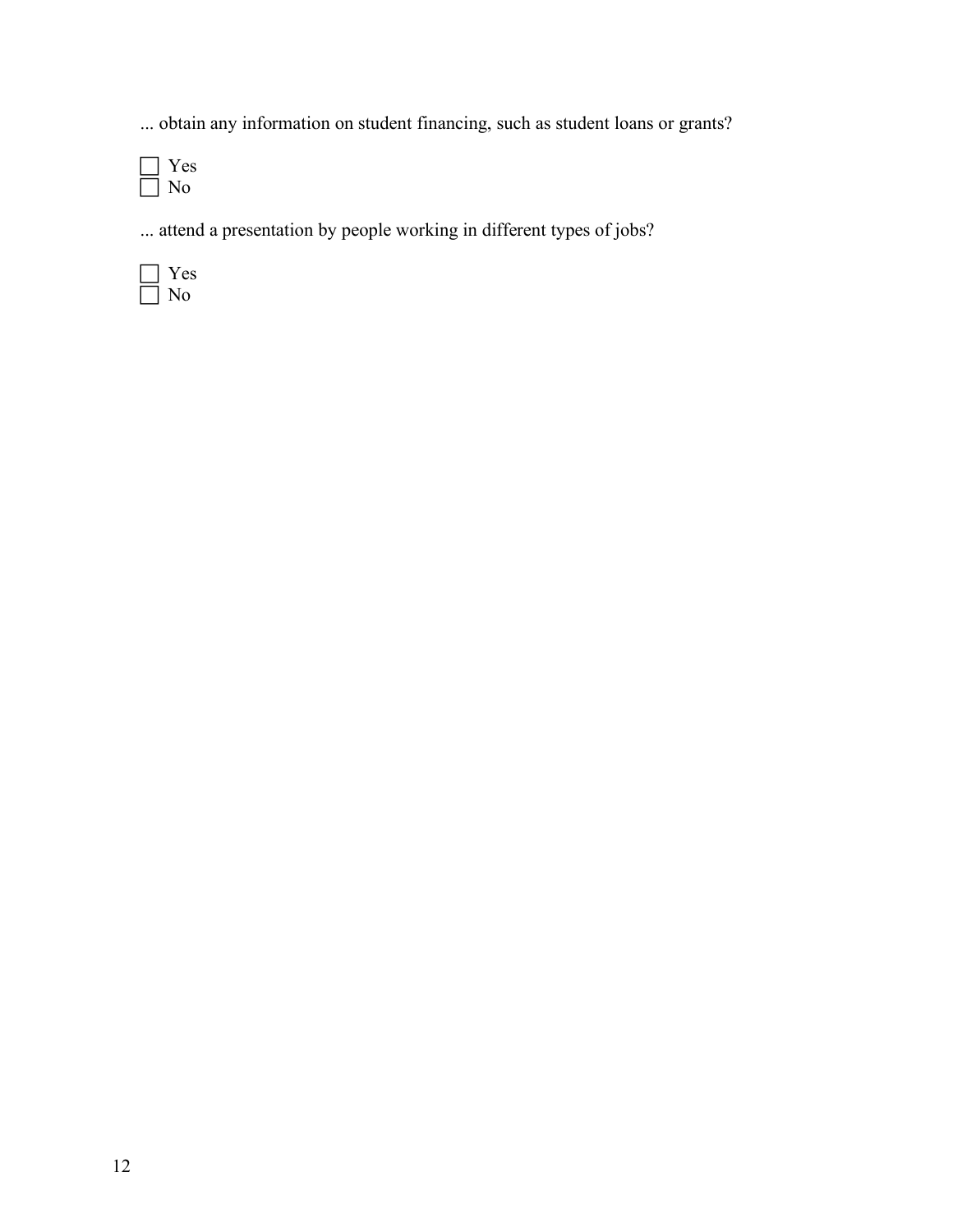... obtain any information on student financing, such as student loans or grants?

 Yes  $\Box$  No

... attend a presentation by people working in different types of jobs?

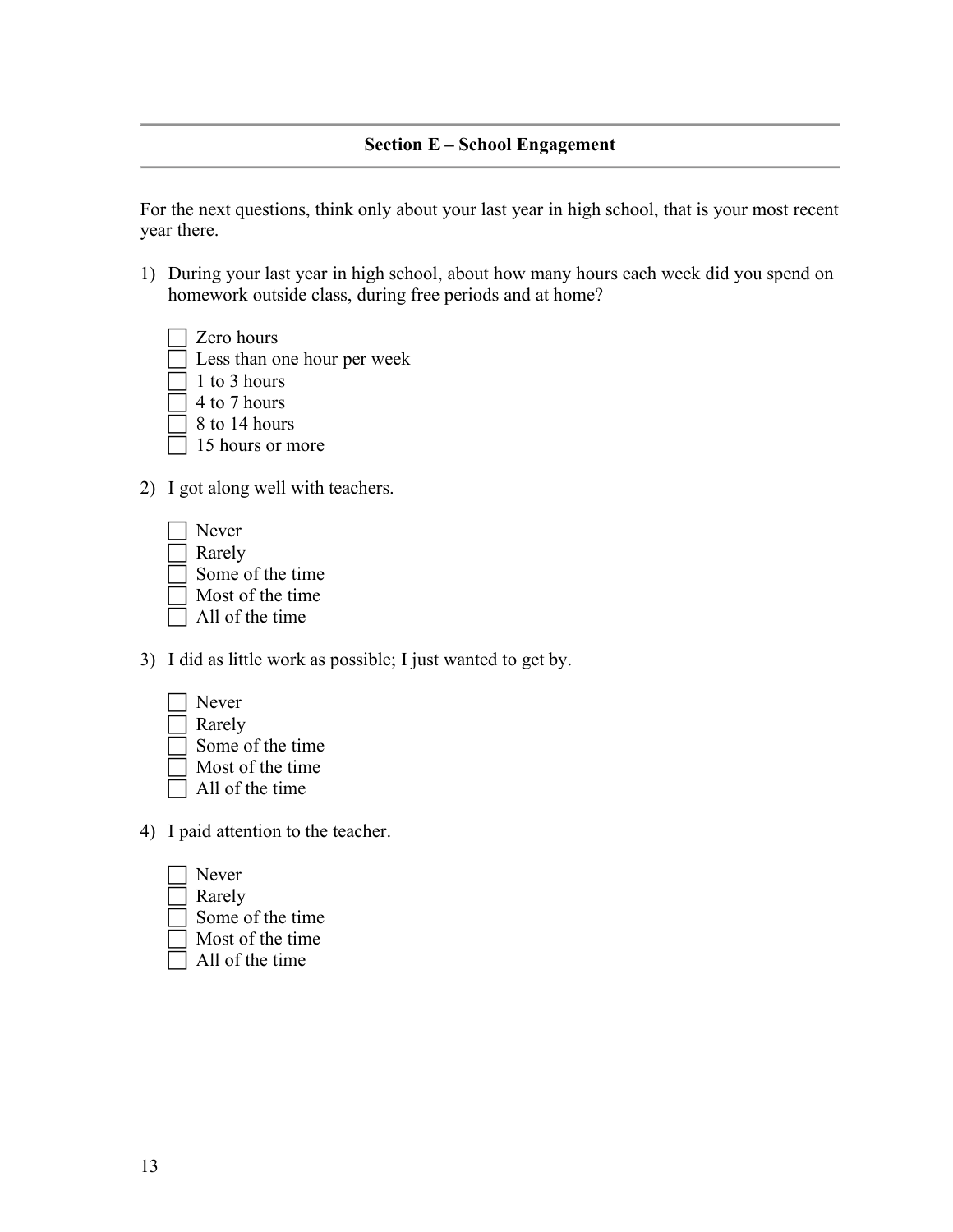#### **Section E – School Engagement**

For the next questions, think only about your last year in high school, that is your most recent year there.

- 1) During your last year in high school, about how many hours each week did you spend on homework outside class, during free periods and at home?
	- Zero hours Less than one hour per week  $\Box$  1 to 3 hours 4 to 7 hours  $\sqrt{8}$  to 14 hours 15 hours or more
- 2) I got along well with teachers.

| Never            |
|------------------|
| Rarely           |
| Some of the time |
| Most of the time |
| All of the time  |

3) I did as little work as possible; I just wanted to get by.



4) I paid attention to the teacher.

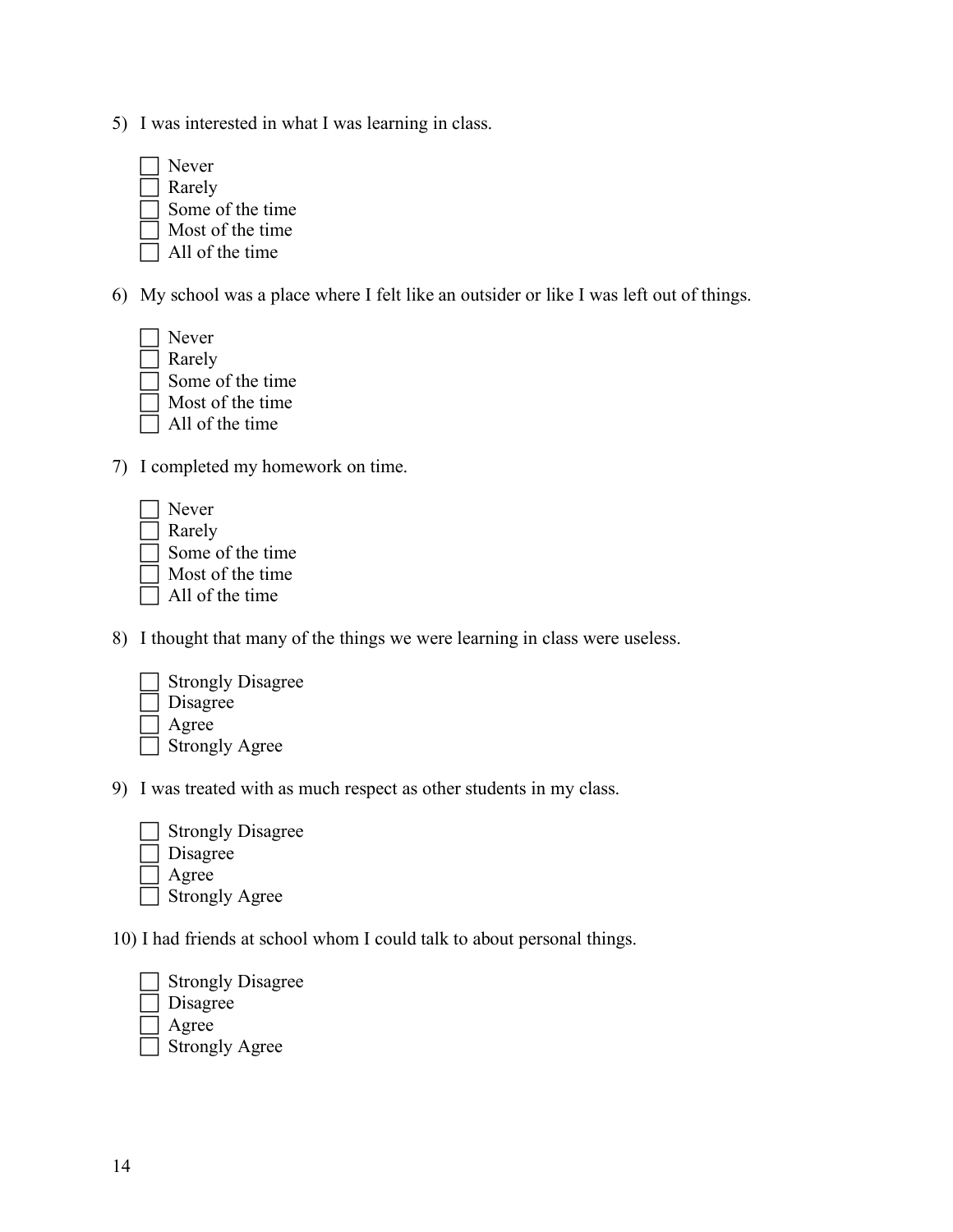- 5) I was interested in what I was learning in class.
	- Never Rarely Some of the time Most of the time All of the time
- 6) My school was a place where I felt like an outsider or like I was left out of things.
	- Never Rarely Some of the time Most of the time All of the time
- 7) I completed my homework on time.

| Never            |
|------------------|
| Rarely           |
| Some of the time |
| Most of the time |
| All of the time  |

8) I thought that many of the things we were learning in class were useless.

| <b>Strongly Disagree</b> |
|--------------------------|
| Disagree                 |
| Agree                    |
| <b>Strongly Agree</b>    |

9) I was treated with as much respect as other students in my class.



10) I had friends at school whom I could talk to about personal things.

 Strongly Disagree Disagree Agree Strongly Agree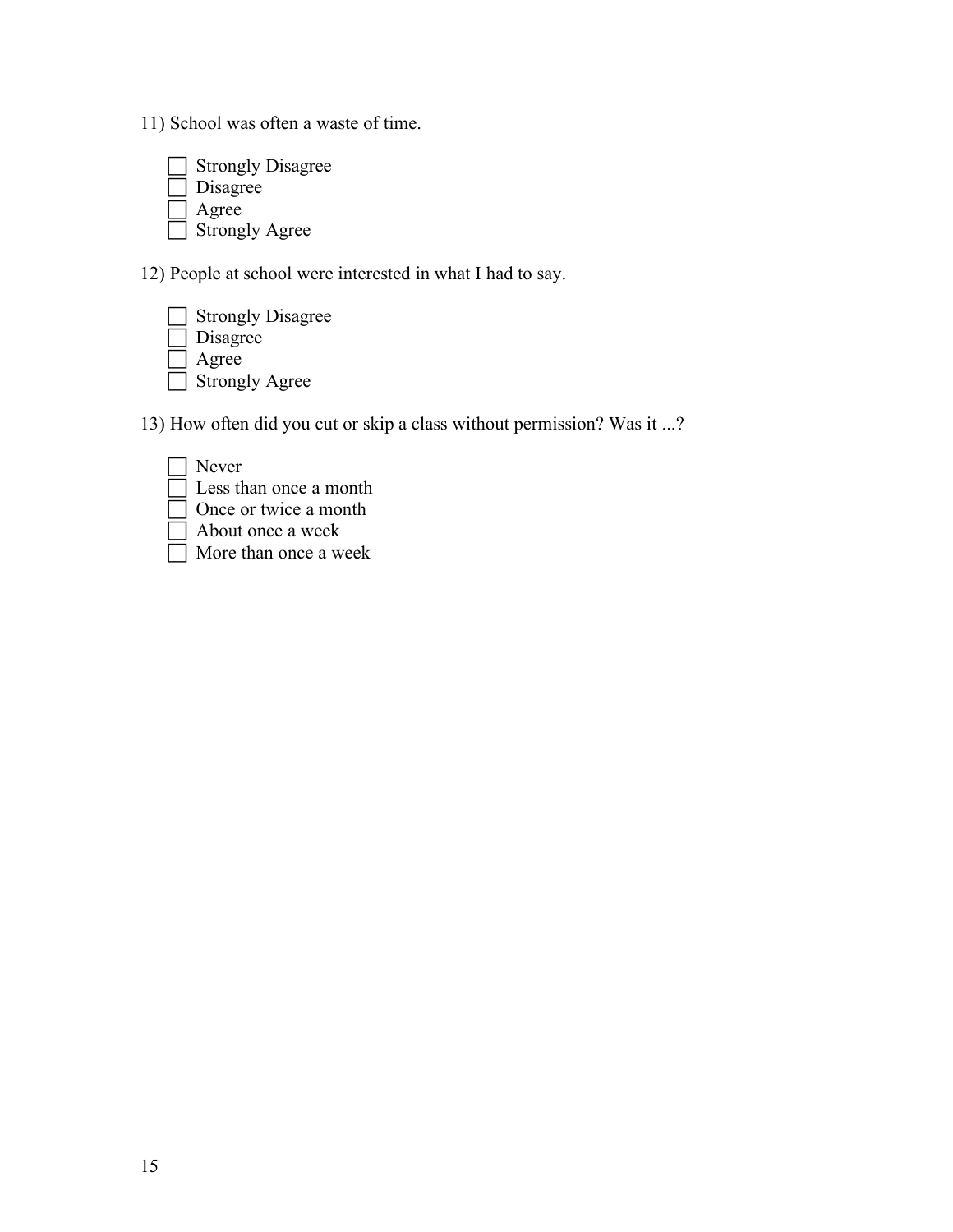11) School was often a waste of time.

| <b>Strongly Disagree</b> |
|--------------------------|
| Disagree                 |
| Agree                    |
| <b>Strongly Agree</b>    |

12) People at school were interested in what I had to say.



13) How often did you cut or skip a class without permission? Was it ...?

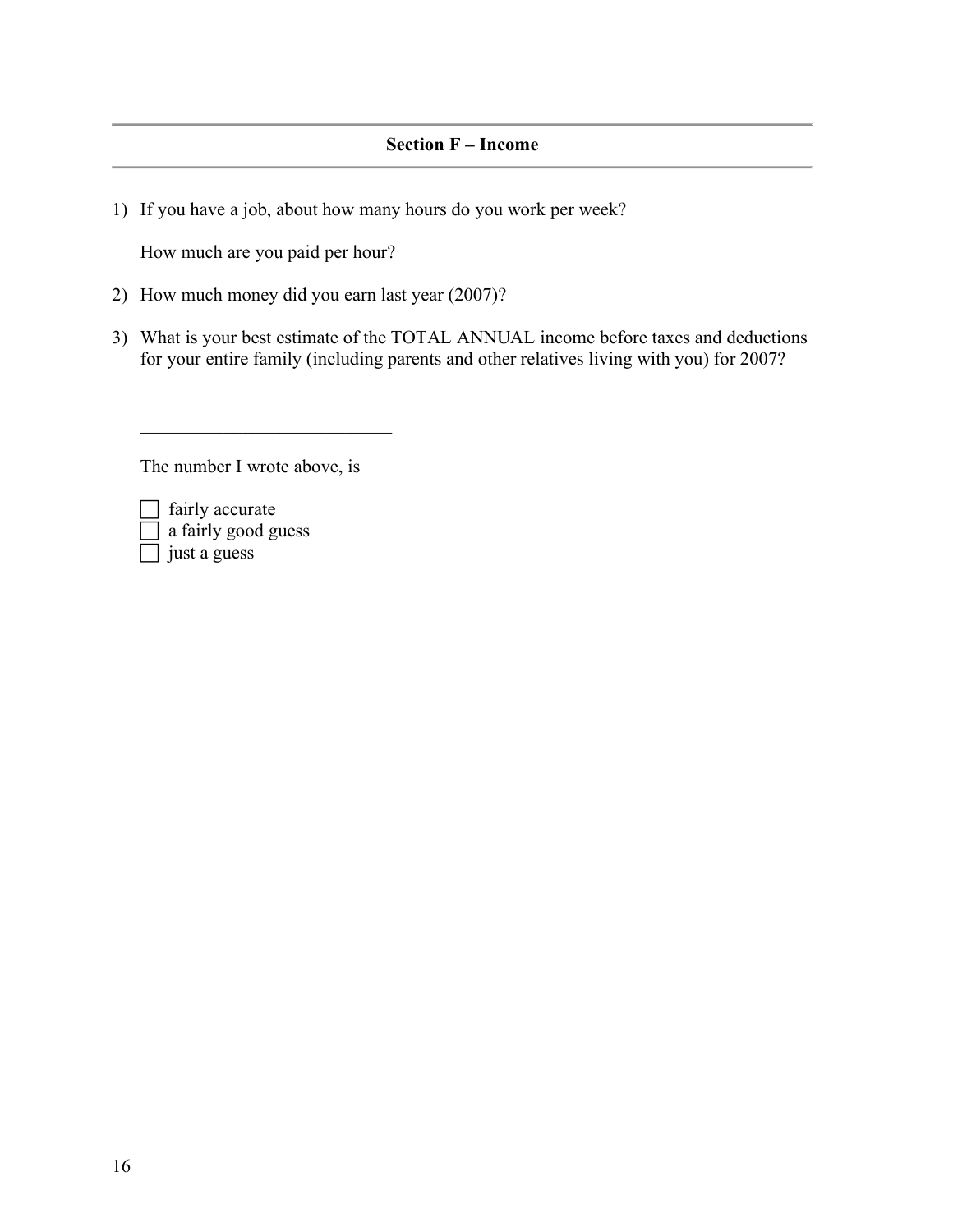#### **Section F – Income**

1) If you have a job, about how many hours do you work per week?

How much are you paid per hour?

- 2) How much money did you earn last year (2007)?
- 3) What is your best estimate of the TOTAL ANNUAL income before taxes and deductions for your entire family (including parents and other relatives living with you) for 2007?

The number I wrote above, is

 $\mathcal{L}_\text{max}$  , where  $\mathcal{L}_\text{max}$  , we have the set of  $\mathcal{L}_\text{max}$ 

 fairly accurate a fairly good guess just a guess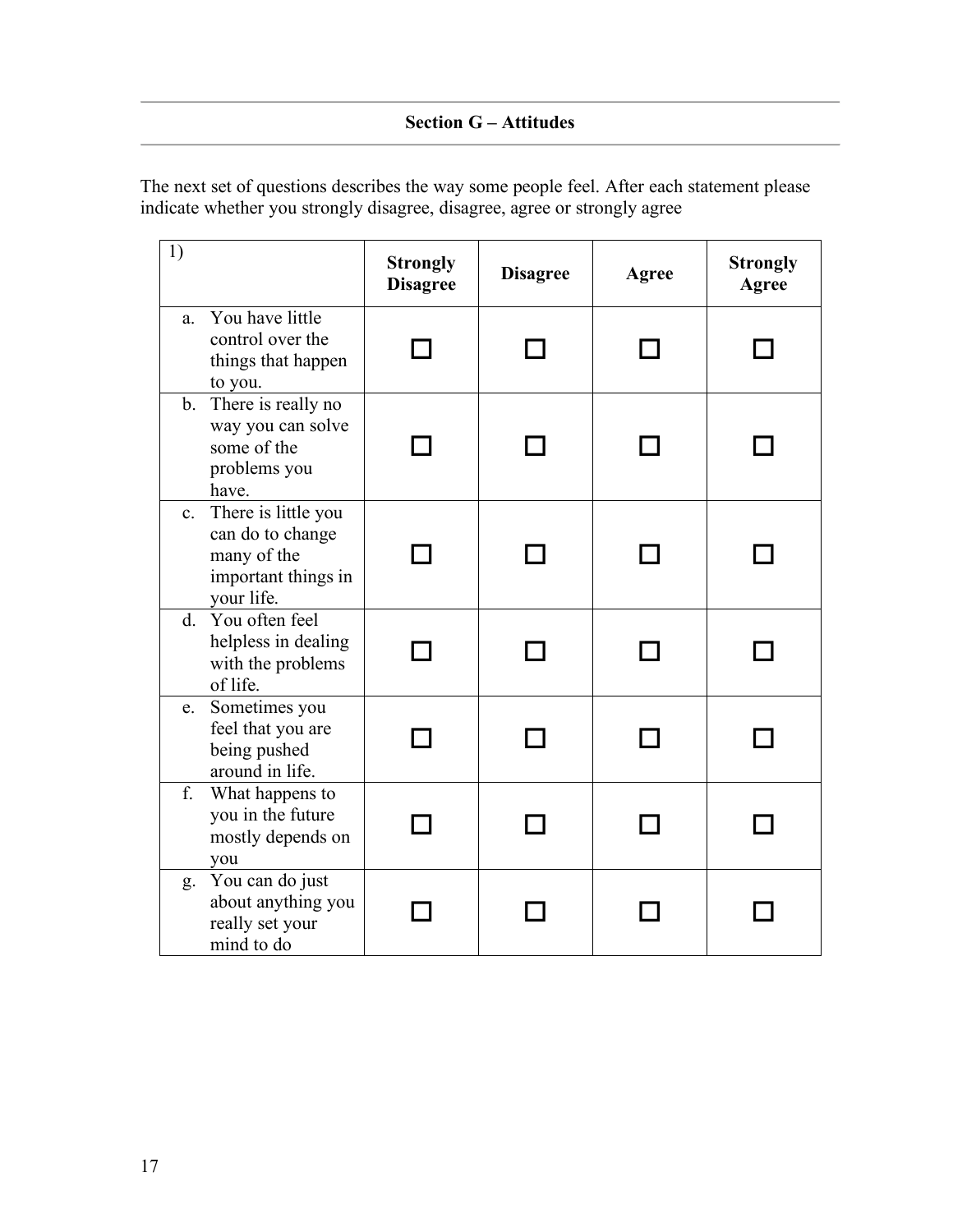#### **Section G – Attitudes**

| The next set of questions describes the way some people feel. After each statement please |  |
|-------------------------------------------------------------------------------------------|--|
| indicate whether you strongly disagree, disagree, agree or strongly agree                 |  |

| 1) |                                                                                                | <b>Strongly</b><br><b>Disagree</b> | <b>Disagree</b> | Agree | <b>Strongly</b><br>Agree |
|----|------------------------------------------------------------------------------------------------|------------------------------------|-----------------|-------|--------------------------|
| a. | You have little<br>control over the<br>things that happen<br>to you.                           |                                    |                 |       |                          |
|    | b. There is really no<br>way you can solve<br>some of the<br>problems you<br>have.             |                                    |                 |       |                          |
|    | c. There is little you<br>can do to change<br>many of the<br>important things in<br>your life. |                                    |                 |       |                          |
|    | d. You often feel<br>helpless in dealing<br>with the problems<br>of life.                      |                                    |                 |       |                          |
| e. | Sometimes you<br>feel that you are<br>being pushed<br>around in life.                          |                                    |                 |       |                          |
| f. | What happens to<br>you in the future<br>mostly depends on<br>you                               |                                    |                 |       |                          |
|    | g. You can do just<br>about anything you<br>really set your<br>mind to do                      |                                    |                 |       |                          |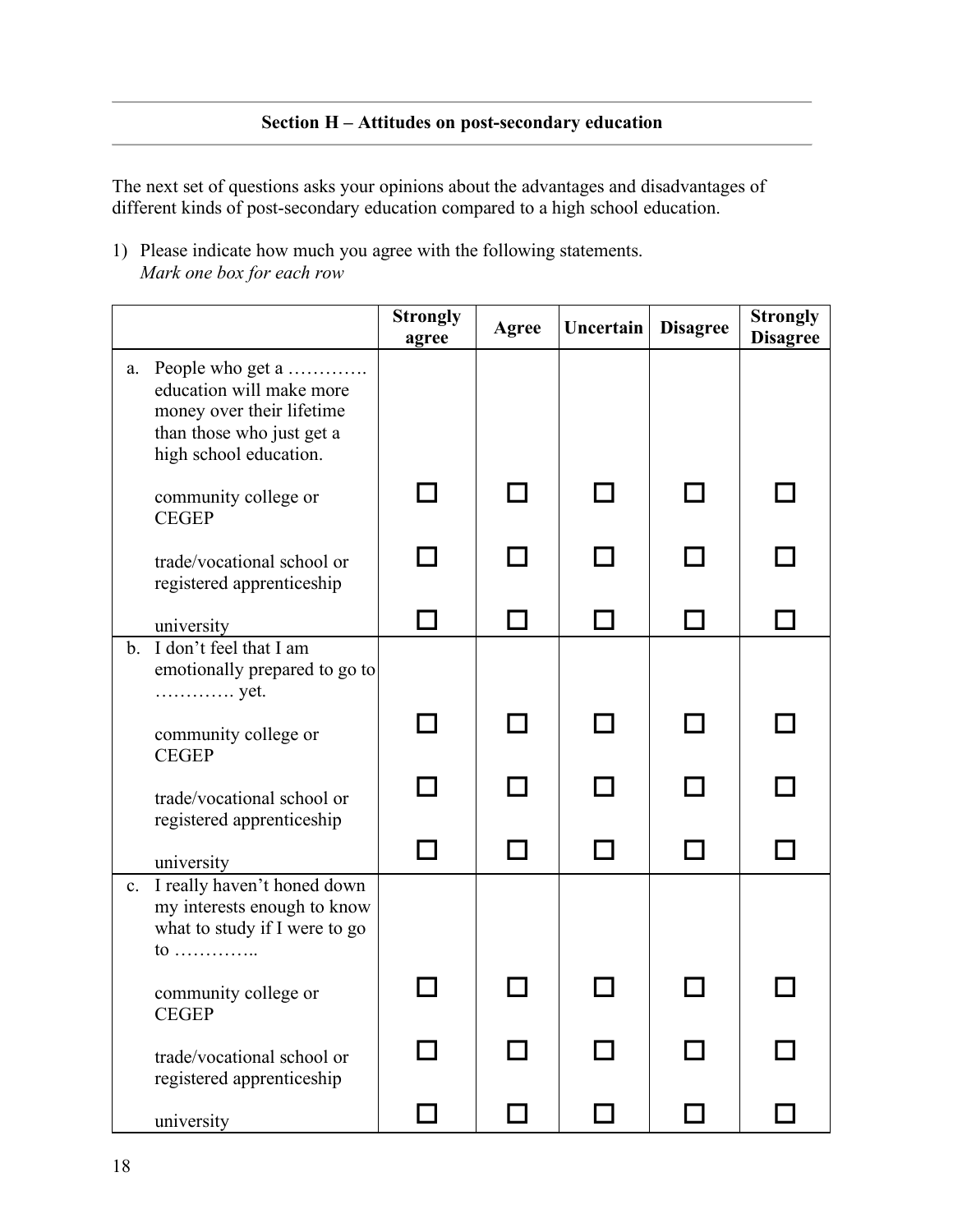The next set of questions asks your opinions about the advantages and disadvantages of different kinds of post-secondary education compared to a high school education.

1) Please indicate how much you agree with the following statements. *Mark one box for each row*

|                |                                                                                                                                  | <b>Strongly</b><br>agree | <b>Agree</b> | Uncertain | <b>Disagree</b> | <b>Strongly</b><br><b>Disagree</b> |
|----------------|----------------------------------------------------------------------------------------------------------------------------------|--------------------------|--------------|-----------|-----------------|------------------------------------|
| a.             | People who get a<br>education will make more<br>money over their lifetime<br>than those who just get a<br>high school education. |                          |              |           |                 |                                    |
|                | community college or<br><b>CEGEP</b>                                                                                             |                          |              |           |                 |                                    |
|                | trade/vocational school or<br>registered apprenticeship                                                                          |                          |              |           |                 |                                    |
|                | university                                                                                                                       |                          |              |           |                 |                                    |
|                | b. I don't feel that I am<br>emotionally prepared to go to<br>yet.                                                               |                          |              |           |                 |                                    |
|                | community college or<br><b>CEGEP</b>                                                                                             |                          |              |           |                 |                                    |
|                | trade/vocational school or<br>registered apprenticeship                                                                          |                          |              |           |                 |                                    |
|                | university                                                                                                                       |                          |              |           |                 |                                    |
| $\mathbf{c}$ . | I really haven't honed down<br>my interests enough to know<br>what to study if I were to go<br>10                                |                          |              |           |                 |                                    |
|                | community college or<br><b>CEGEP</b>                                                                                             |                          |              |           |                 |                                    |
|                | trade/vocational school or<br>registered apprenticeship                                                                          |                          |              |           |                 |                                    |
|                | university                                                                                                                       |                          |              |           |                 |                                    |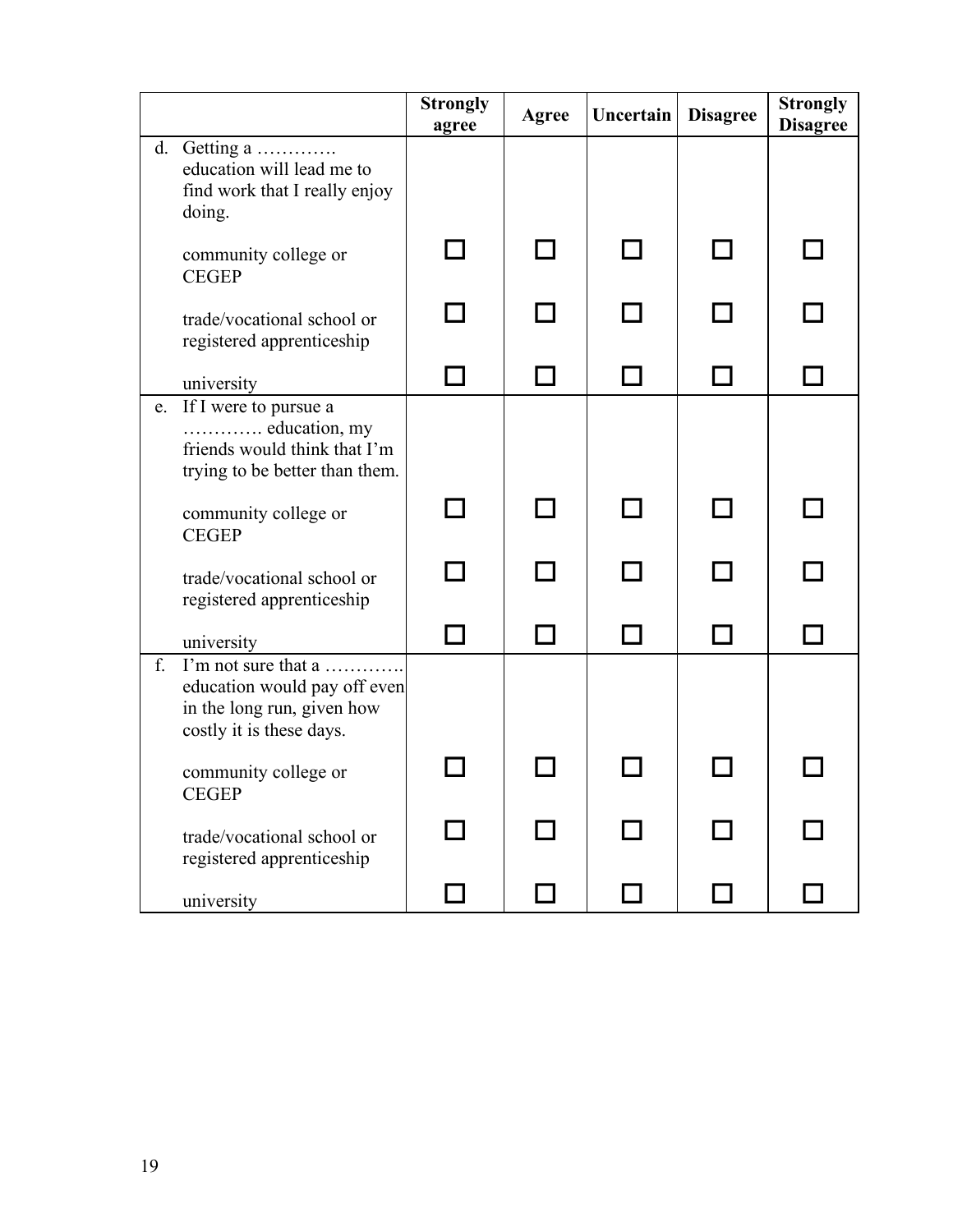|    |                                                                                                               | <b>Strongly</b><br>agree | <b>Agree</b> | Uncertain | <b>Disagree</b> | <b>Strongly</b><br><b>Disagree</b> |
|----|---------------------------------------------------------------------------------------------------------------|--------------------------|--------------|-----------|-----------------|------------------------------------|
| d. | Getting a<br>education will lead me to<br>find work that I really enjoy<br>doing.                             |                          |              |           |                 |                                    |
|    | community college or<br><b>CEGEP</b>                                                                          |                          | $\sim$       |           |                 |                                    |
|    | trade/vocational school or<br>registered apprenticeship                                                       |                          |              |           |                 |                                    |
|    | university                                                                                                    |                          | $\sim$       |           |                 |                                    |
| e. | If I were to pursue a<br>education, my<br>friends would think that I'm<br>trying to be better than them.      |                          |              |           |                 |                                    |
|    | community college or<br><b>CEGEP</b>                                                                          |                          |              |           |                 |                                    |
|    | trade/vocational school or<br>registered apprenticeship                                                       |                          |              |           |                 |                                    |
|    | university                                                                                                    |                          |              |           |                 |                                    |
| f. | I'm not sure that a<br>education would pay off even<br>in the long run, given how<br>costly it is these days. |                          |              |           |                 |                                    |
|    | community college or<br><b>CEGEP</b>                                                                          |                          |              |           |                 |                                    |
|    | trade/vocational school or<br>registered apprenticeship                                                       |                          |              |           |                 |                                    |
|    | university                                                                                                    |                          | $\sim$       |           |                 |                                    |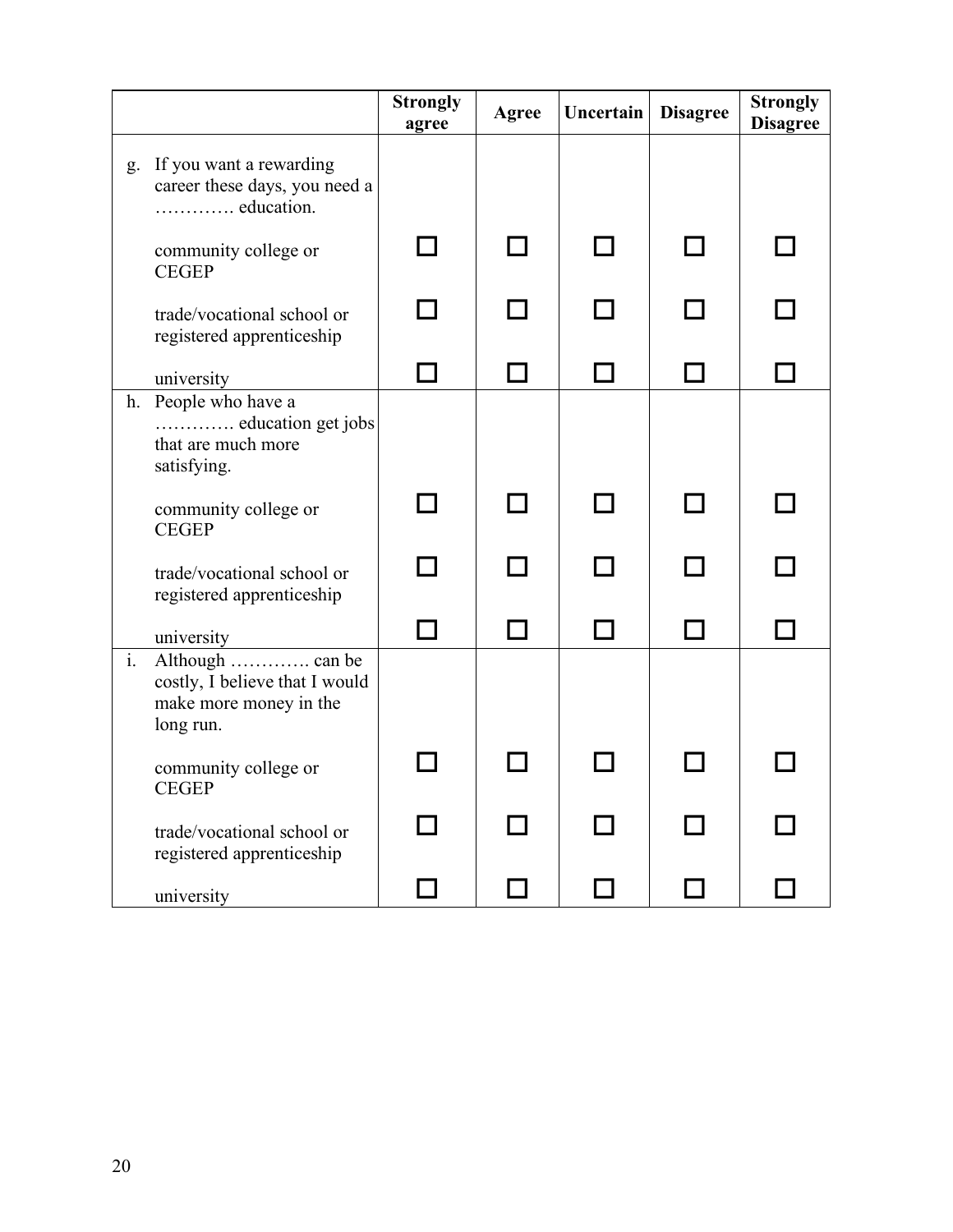|                |                                                                              | <b>Strongly</b><br>agree | <b>Agree</b> | <b>Uncertain</b> | <b>Disagree</b> | <b>Strongly</b><br><b>Disagree</b> |
|----------------|------------------------------------------------------------------------------|--------------------------|--------------|------------------|-----------------|------------------------------------|
| g.             | If you want a rewarding<br>career these days, you need a<br>education.       |                          |              |                  |                 |                                    |
|                | community college or<br><b>CEGEP</b>                                         |                          |              |                  |                 |                                    |
|                | trade/vocational school or<br>registered apprenticeship                      |                          |              |                  |                 |                                    |
|                | university                                                                   |                          |              |                  |                 |                                    |
| h.             | People who have a<br>education get jobs<br>that are much more<br>satisfying. |                          |              |                  |                 |                                    |
|                | community college or<br><b>CEGEP</b>                                         |                          |              |                  |                 |                                    |
|                | trade/vocational school or<br>registered apprenticeship                      |                          |              |                  |                 |                                    |
|                | university                                                                   |                          | $\sim$       |                  |                 |                                    |
| $\mathbf{i}$ . | costly, I believe that I would<br>make more money in the<br>long run.        |                          |              |                  |                 |                                    |
|                | community college or<br><b>CEGEP</b>                                         |                          |              |                  |                 |                                    |
|                | trade/vocational school or<br>registered apprenticeship                      |                          |              |                  |                 |                                    |
|                | university                                                                   |                          |              | $\blacksquare$   |                 |                                    |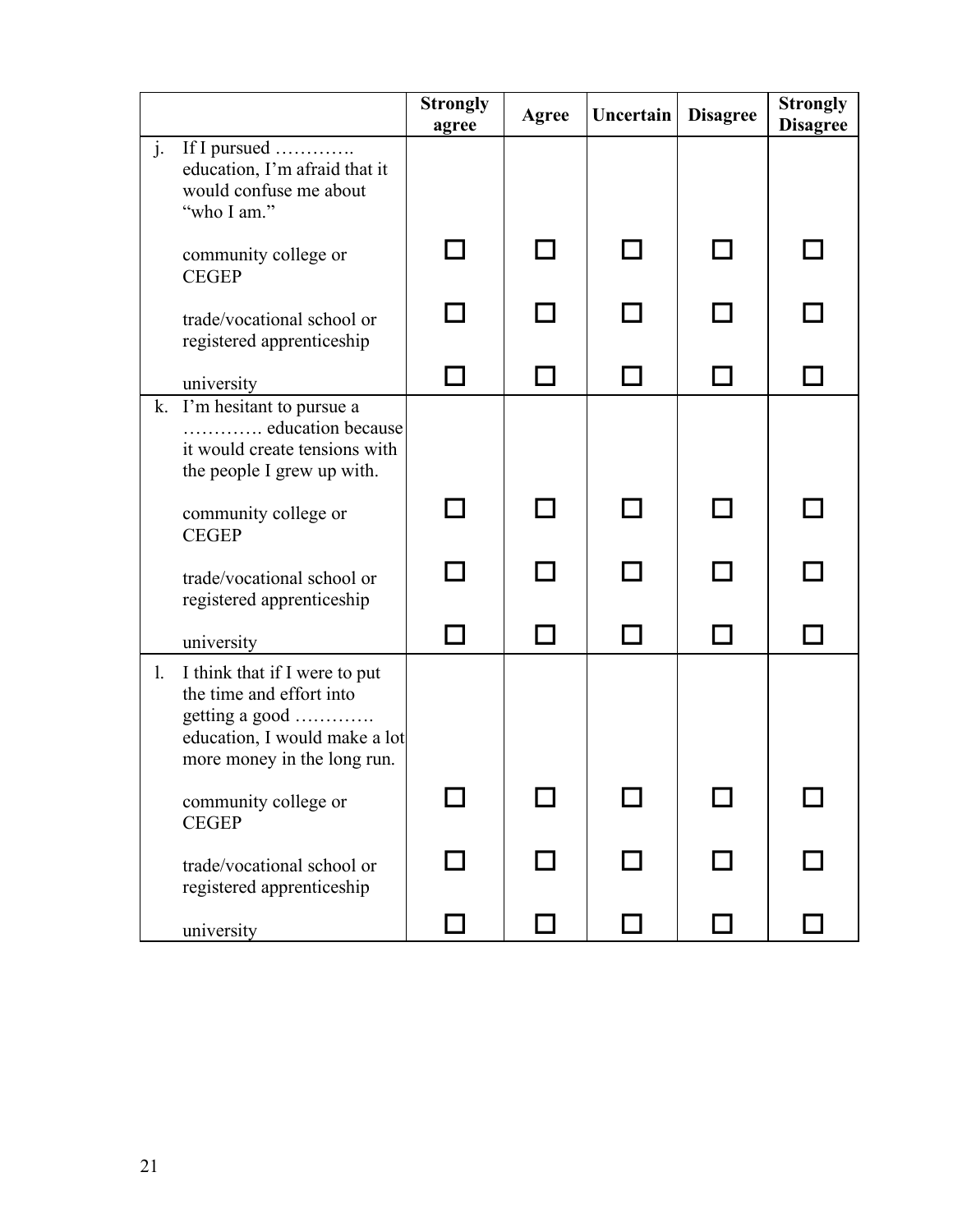|    |                                                                                                                                             | <b>Strongly</b><br>agree | Agree        | Uncertain | <b>Disagree</b> | <b>Strongly</b><br><b>Disagree</b> |
|----|---------------------------------------------------------------------------------------------------------------------------------------------|--------------------------|--------------|-----------|-----------------|------------------------------------|
| j. | If I pursued<br>education, I'm afraid that it<br>would confuse me about<br>"who I am."                                                      |                          |              |           |                 |                                    |
|    | community college or<br><b>CEGEP</b>                                                                                                        |                          | $\mathbf{I}$ |           |                 |                                    |
|    | trade/vocational school or<br>registered apprenticeship                                                                                     |                          |              |           |                 |                                    |
|    | university                                                                                                                                  |                          |              |           |                 |                                    |
| k. | I'm hesitant to pursue a<br>education because<br>it would create tensions with<br>the people I grew up with.                                |                          |              |           |                 |                                    |
|    | community college or<br><b>CEGEP</b>                                                                                                        |                          |              |           |                 |                                    |
|    | trade/vocational school or<br>registered apprenticeship                                                                                     |                          |              |           |                 |                                    |
|    | university                                                                                                                                  |                          |              |           |                 |                                    |
| 1. | I think that if I were to put<br>the time and effort into<br>getting a good<br>education, I would make a lot<br>more money in the long run. |                          |              |           |                 |                                    |
|    | community college or<br><b>CEGEP</b>                                                                                                        |                          |              |           |                 |                                    |
|    | trade/vocational school or<br>registered apprenticeship                                                                                     |                          |              |           |                 |                                    |
|    | university                                                                                                                                  |                          |              |           |                 |                                    |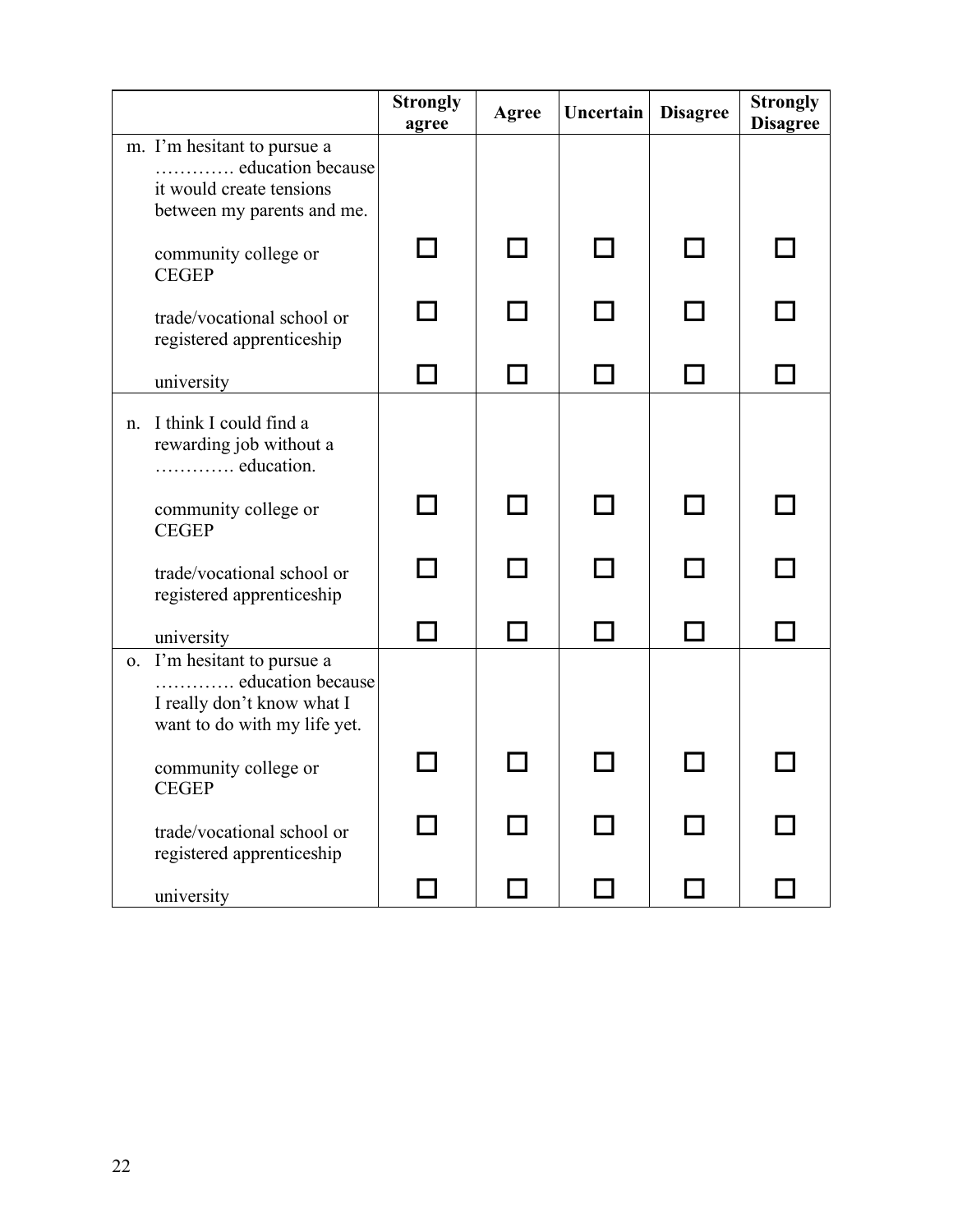|                                            |                                                                                                             | <b>Strongly</b><br>agree | <b>Agree</b>             | Uncertain | <b>Disagree</b> | <b>Strongly</b><br><b>Disagree</b> |
|--------------------------------------------|-------------------------------------------------------------------------------------------------------------|--------------------------|--------------------------|-----------|-----------------|------------------------------------|
| m. I'm hesitant to pursue a                | education because<br>it would create tensions<br>between my parents and me.                                 |                          |                          |           |                 |                                    |
| community college or<br><b>CEGEP</b>       |                                                                                                             |                          | $\overline{\phantom{a}}$ |           |                 |                                    |
|                                            | trade/vocational school or<br>registered apprenticeship                                                     |                          |                          |           |                 |                                    |
| university                                 |                                                                                                             |                          | $\sim$                   |           |                 |                                    |
| I think I could find a<br>n.<br>education. | rewarding job without a                                                                                     |                          |                          |           |                 |                                    |
| community college or<br><b>CEGEP</b>       |                                                                                                             |                          | $\sim$                   |           |                 |                                    |
|                                            | trade/vocational school or<br>registered apprenticeship                                                     | - 1                      |                          | - 1       |                 |                                    |
| university                                 |                                                                                                             |                          | $\blacksquare$           |           |                 |                                    |
| 0.                                         | I'm hesitant to pursue a<br>education because<br>I really don't know what I<br>want to do with my life yet. |                          |                          |           |                 |                                    |
| community college or<br><b>CEGEP</b>       |                                                                                                             |                          |                          |           |                 |                                    |
|                                            | trade/vocational school or<br>registered apprenticeship                                                     |                          |                          |           |                 |                                    |
| university                                 |                                                                                                             |                          |                          |           |                 |                                    |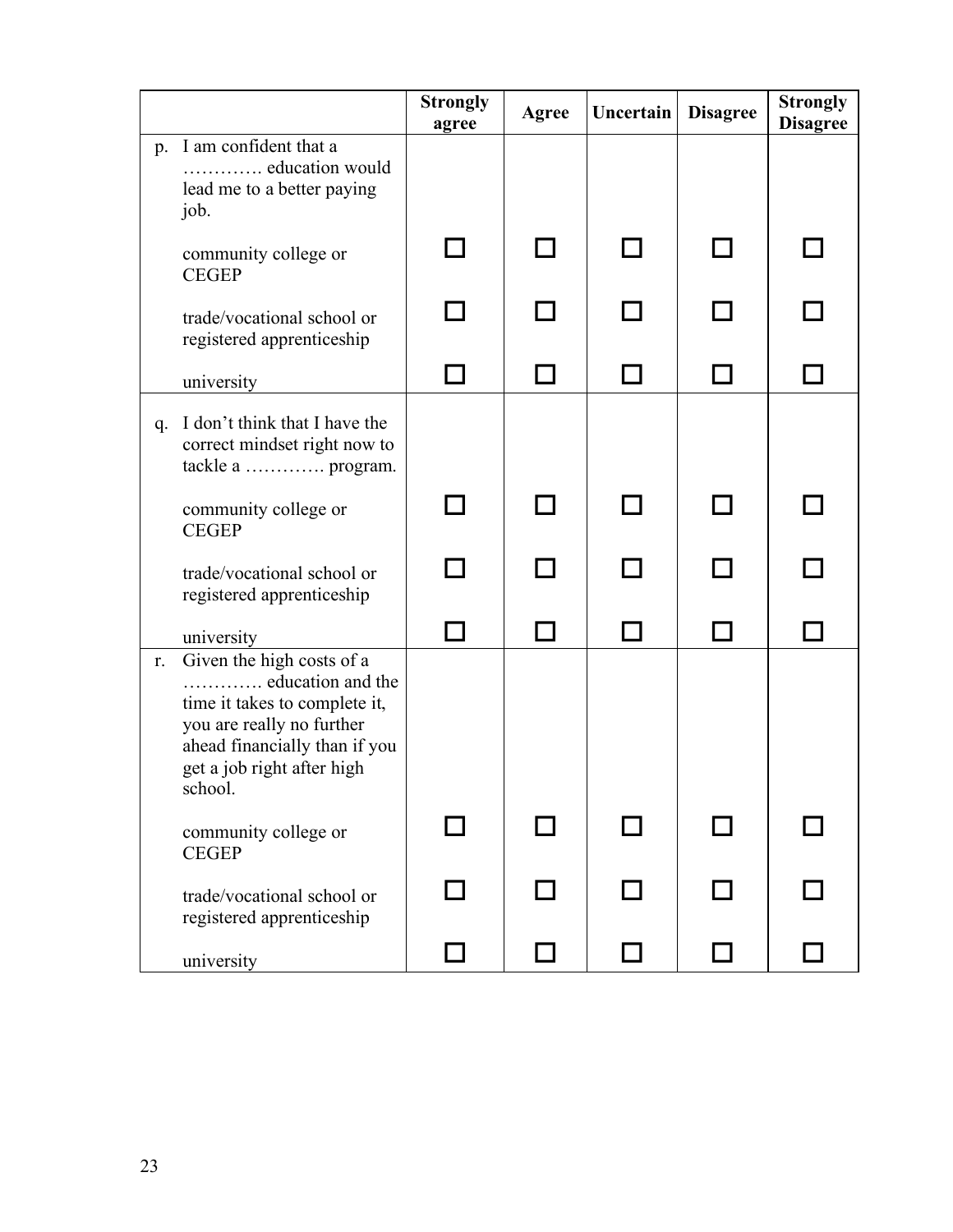|    |                                                                                                                                                                                        | <b>Strongly</b><br>agree | <b>Agree</b>    | Uncertain | <b>Disagree</b> | <b>Strongly</b><br><b>Disagree</b> |
|----|----------------------------------------------------------------------------------------------------------------------------------------------------------------------------------------|--------------------------|-----------------|-----------|-----------------|------------------------------------|
| p. | I am confident that a<br>education would<br>lead me to a better paying<br>job.                                                                                                         |                          |                 |           |                 |                                    |
|    | community college or<br><b>CEGEP</b>                                                                                                                                                   |                          | $\mathbf{I}$    |           |                 |                                    |
|    | trade/vocational school or<br>registered apprenticeship                                                                                                                                |                          |                 |           |                 |                                    |
|    | university                                                                                                                                                                             |                          | <b>Contract</b> |           |                 |                                    |
| q. | I don't think that I have the<br>correct mindset right now to<br>tackle a  program.                                                                                                    |                          |                 |           |                 |                                    |
|    | community college or<br><b>CEGEP</b>                                                                                                                                                   |                          |                 |           |                 |                                    |
|    | trade/vocational school or<br>registered apprenticeship                                                                                                                                |                          |                 | - 1       |                 |                                    |
|    | university                                                                                                                                                                             |                          | $\sim$          |           |                 |                                    |
| r. | Given the high costs of a<br>education and the<br>time it takes to complete it,<br>you are really no further<br>ahead financially than if you<br>get a job right after high<br>school. |                          |                 |           |                 |                                    |
|    | community college or<br><b>CEGEP</b>                                                                                                                                                   |                          |                 |           |                 |                                    |
|    | trade/vocational school or<br>registered apprenticeship                                                                                                                                |                          |                 |           |                 |                                    |
|    | university                                                                                                                                                                             |                          | $\blacksquare$  | $\Box$    |                 |                                    |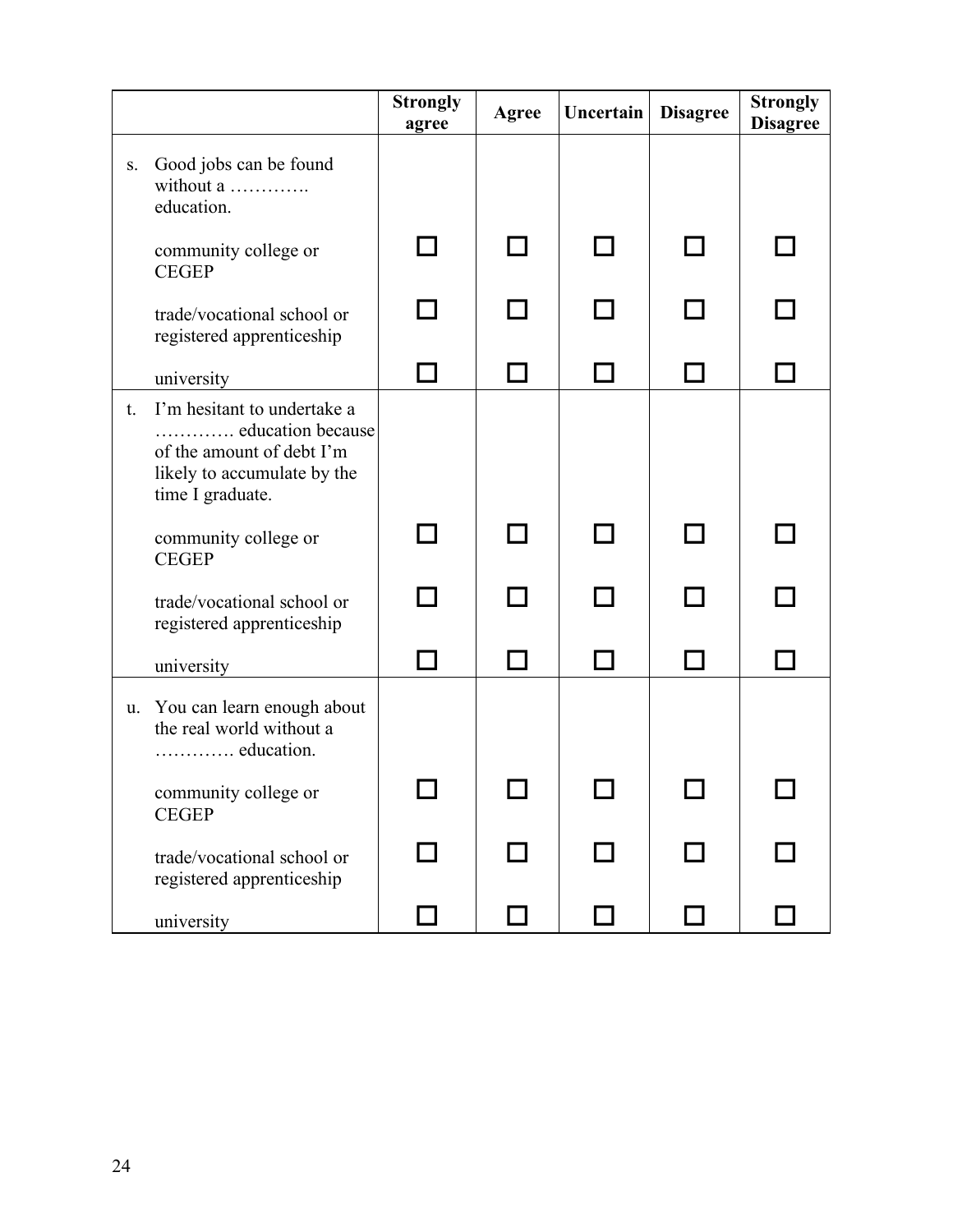|    |                                                                                                                                  | <b>Strongly</b><br>agree | <b>Agree</b> | <b>Uncertain</b> | <b>Disagree</b> | <b>Strongly</b><br><b>Disagree</b> |
|----|----------------------------------------------------------------------------------------------------------------------------------|--------------------------|--------------|------------------|-----------------|------------------------------------|
| S. | Good jobs can be found<br>without a<br>education.                                                                                |                          |              |                  |                 |                                    |
|    | community college or<br><b>CEGEP</b>                                                                                             |                          |              |                  |                 |                                    |
|    | trade/vocational school or<br>registered apprenticeship                                                                          |                          |              |                  |                 |                                    |
|    | university                                                                                                                       |                          |              |                  |                 |                                    |
| t. | I'm hesitant to undertake a<br>education because<br>of the amount of debt I'm<br>likely to accumulate by the<br>time I graduate. |                          |              |                  |                 |                                    |
|    | community college or<br><b>CEGEP</b>                                                                                             |                          |              |                  |                 |                                    |
|    | trade/vocational school or<br>registered apprenticeship                                                                          |                          |              |                  |                 |                                    |
|    | university                                                                                                                       |                          |              |                  |                 |                                    |
| u. | You can learn enough about<br>the real world without a<br>education.                                                             |                          |              |                  |                 |                                    |
|    | community college or<br><b>CEGEP</b>                                                                                             |                          |              |                  |                 |                                    |
|    | trade/vocational school or<br>registered apprenticeship                                                                          |                          |              |                  |                 |                                    |
|    | university                                                                                                                       |                          |              | $\blacksquare$   |                 |                                    |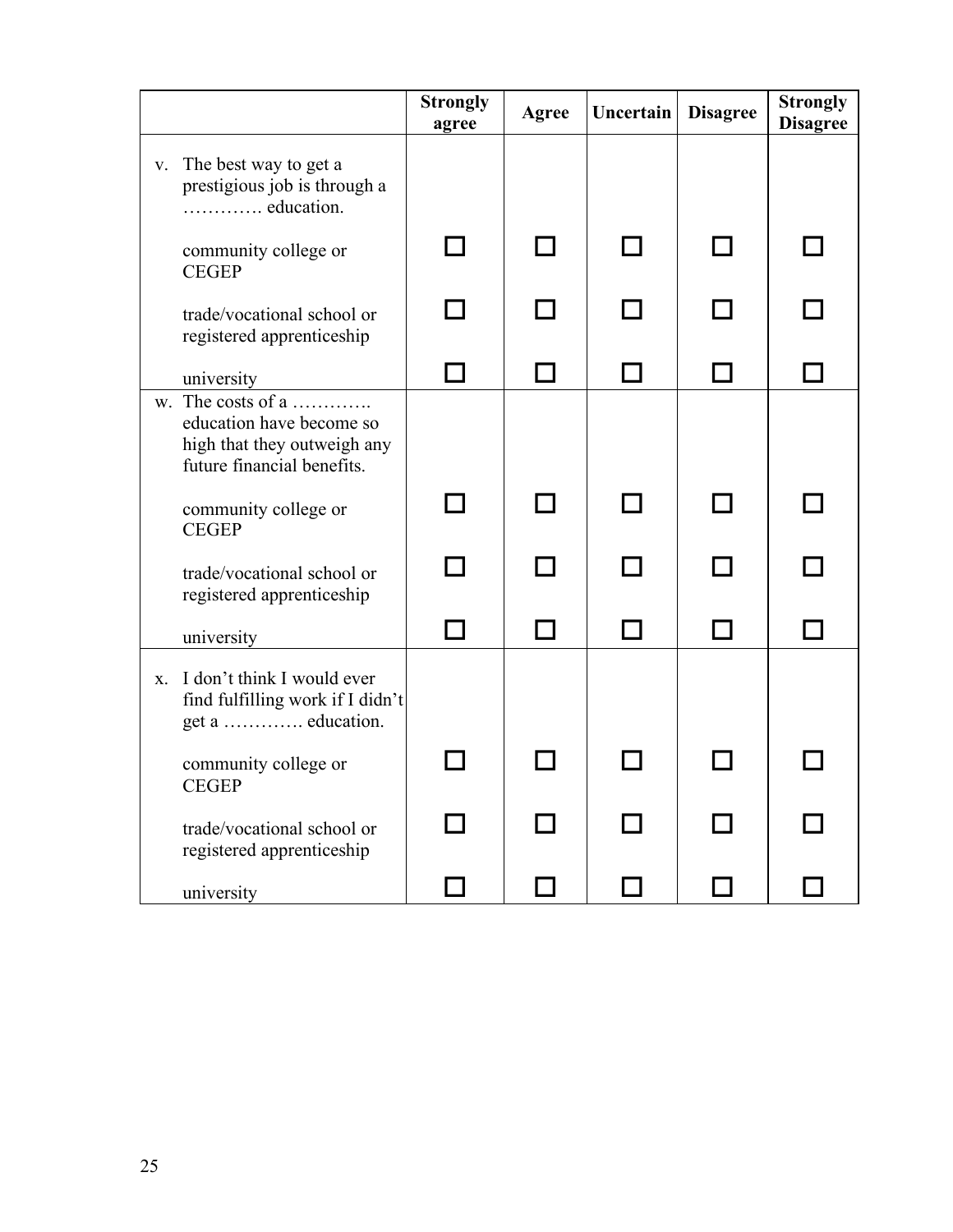|    |                                                                                                            | <b>Strongly</b><br>agree | <b>Agree</b>   | Uncertain | <b>Disagree</b> | <b>Strongly</b><br><b>Disagree</b> |
|----|------------------------------------------------------------------------------------------------------------|--------------------------|----------------|-----------|-----------------|------------------------------------|
| V. | The best way to get a<br>prestigious job is through a<br>education.                                        |                          |                |           |                 |                                    |
|    | community college or<br><b>CEGEP</b>                                                                       |                          |                |           |                 |                                    |
|    | trade/vocational school or<br>registered apprenticeship                                                    |                          |                |           |                 |                                    |
|    | university                                                                                                 |                          |                |           |                 |                                    |
|    | w. The costs of a<br>education have become so<br>high that they outweigh any<br>future financial benefits. |                          |                |           |                 |                                    |
|    | community college or<br><b>CEGEP</b>                                                                       |                          |                |           |                 |                                    |
|    | trade/vocational school or<br>registered apprenticeship                                                    |                          |                | - 1       |                 |                                    |
|    | university                                                                                                 |                          | $\blacksquare$ |           |                 |                                    |
| X. | I don't think I would ever<br>find fulfilling work if I didn't<br>get a  education.                        |                          |                |           |                 |                                    |
|    | community college or<br>CEGEP                                                                              |                          |                |           |                 |                                    |
|    | trade/vocational school or<br>registered apprenticeship                                                    |                          |                |           |                 |                                    |
|    | university                                                                                                 |                          |                |           |                 |                                    |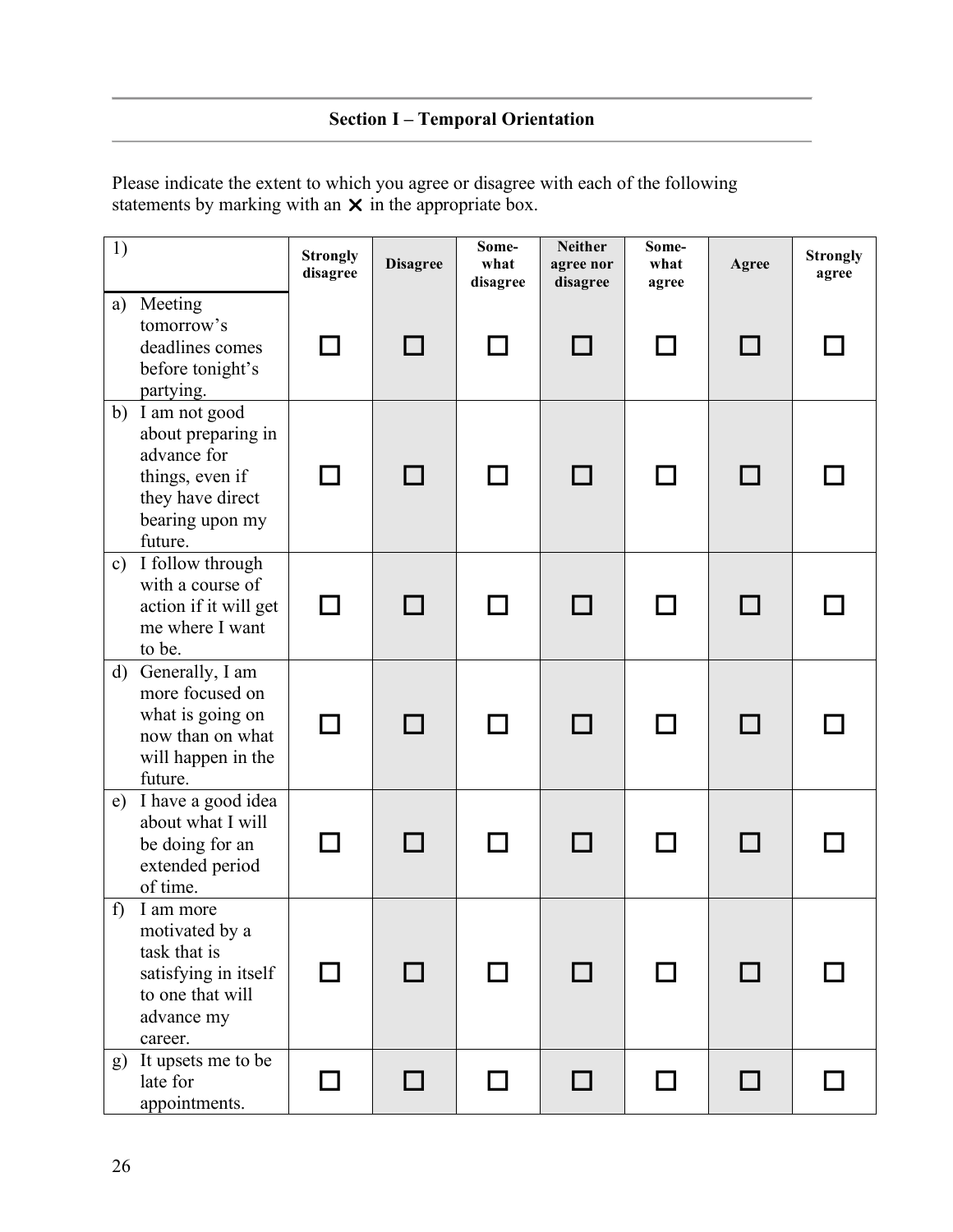Please indicate the extent to which you agree or disagree with each of the following statements by marking with an  $\times$  in the appropriate box.

| 1)            |                                                                                                                         | <b>Strongly</b><br>disagree | <b>Disagree</b> | Some-<br>what<br>disagree | <b>Neither</b><br>agree nor<br>disagree | Some-<br>what<br>agree | Agree | <b>Strongly</b><br>agree |
|---------------|-------------------------------------------------------------------------------------------------------------------------|-----------------------------|-----------------|---------------------------|-----------------------------------------|------------------------|-------|--------------------------|
| a)            | Meeting<br>tomorrow's<br>deadlines comes<br>before tonight's<br>partying.                                               | <b>Contract</b>             | H               |                           |                                         |                        |       |                          |
| b)            | I am not good<br>about preparing in<br>advance for<br>things, even if<br>they have direct<br>bearing upon my<br>future. |                             | $\Box$          | <b>Contract</b>           | <b>Contract</b>                         |                        |       |                          |
| $\mathbf{c})$ | I follow through<br>with a course of<br>action if it will get<br>me where I want<br>to be.                              | П                           | l. I            |                           |                                         |                        |       |                          |
| $\mathbf{d}$  | Generally, I am<br>more focused on<br>what is going on<br>now than on what<br>will happen in the<br>future.             | П                           | П               |                           |                                         |                        |       |                          |
| e)            | I have a good idea<br>about what I will<br>be doing for an<br>extended period<br>of time.                               | $\Box$                      | I I             |                           |                                         |                        |       |                          |
| f             | I am more<br>motivated by a<br>task that is<br>satisfying in itself<br>to one that will<br>advance my<br>career.        |                             |                 |                           |                                         |                        |       |                          |
| g)            | It upsets me to be<br>late for<br>appointments.                                                                         | n l                         | П               | l I                       | a ser                                   |                        |       |                          |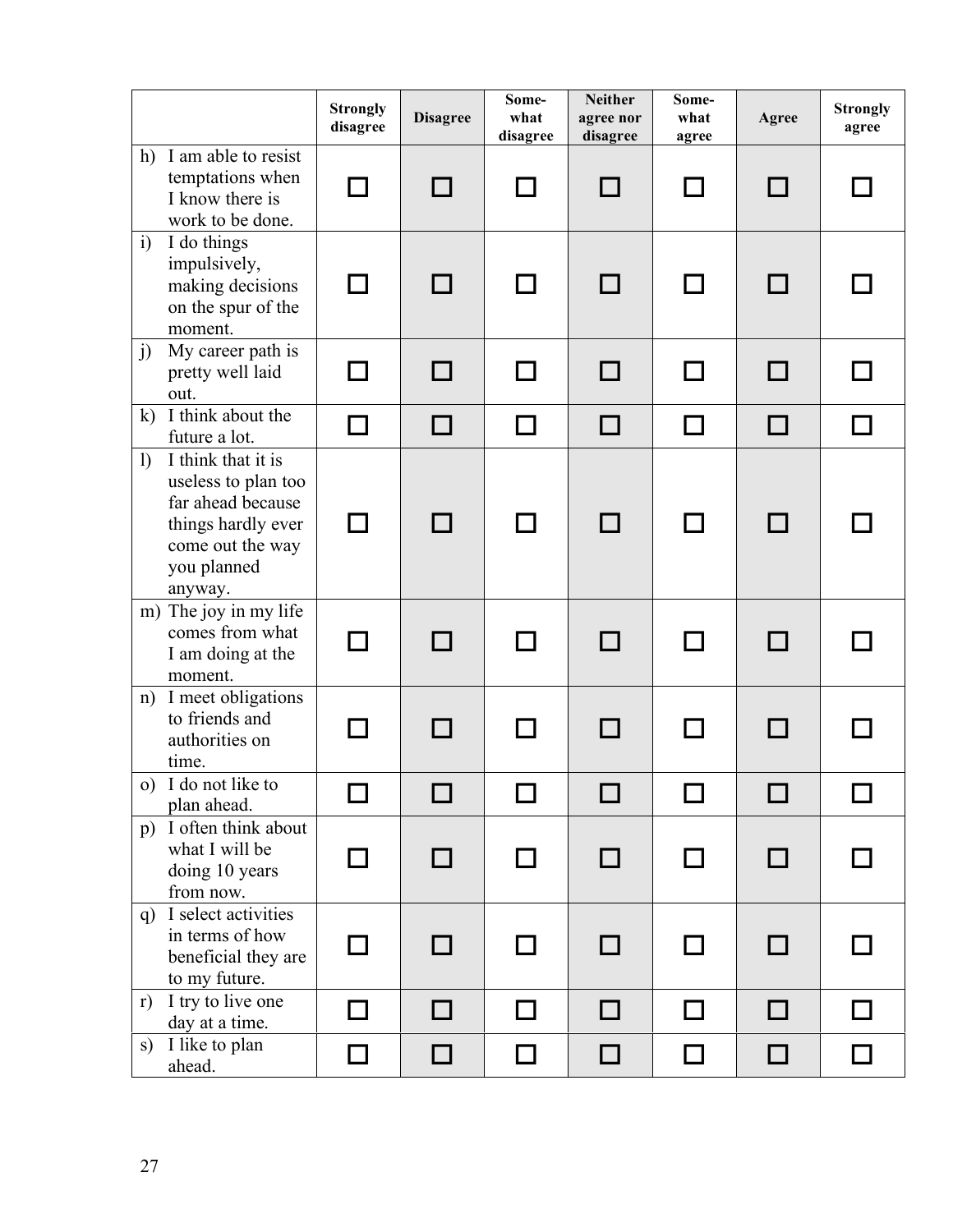|                  |                                                                                                                                    | <b>Strongly</b><br>disagree | <b>Disagree</b> | Some-<br>what<br>disagree | <b>Neither</b><br>agree nor<br>disagree | Some-<br>what<br>agree | Agree | <b>Strongly</b><br>agree |
|------------------|------------------------------------------------------------------------------------------------------------------------------------|-----------------------------|-----------------|---------------------------|-----------------------------------------|------------------------|-------|--------------------------|
|                  | h) I am able to resist<br>temptations when<br>I know there is<br>work to be done.                                                  | П                           | n a             |                           |                                         |                        |       |                          |
| $\mathbf{i}$     | I do things<br>impulsively,<br>making decisions<br>on the spur of the<br>moment.                                                   | $\Box$                      | П               | ΙI                        | П                                       | ΙI                     |       |                          |
| j)               | My career path is<br>pretty well laid<br>out.                                                                                      | П                           | n a             |                           | l I                                     |                        |       |                          |
| $\bf k)$         | I think about the<br>future a lot.                                                                                                 | $\Box$                      | $\Box$          | П                         | $\Box$                                  | П                      | П     |                          |
| $\left  \right)$ | I think that it is<br>useless to plan too<br>far ahead because<br>things hardly ever<br>come out the way<br>you planned<br>anyway. | П                           | n l             |                           | <b>COLL</b>                             |                        |       |                          |
|                  | m) The joy in my life<br>comes from what<br>I am doing at the<br>moment.                                                           | П                           | П               | ΙI                        | П                                       | ΙI                     |       |                          |
| n)               | I meet obligations<br>to friends and<br>authorities on<br>time.                                                                    |                             |                 |                           |                                         |                        |       |                          |
|                  | o) I do not like to<br>plan ahead.                                                                                                 |                             |                 |                           |                                         |                        |       |                          |
| p)               | I often think about<br>what I will be<br>doing 10 years<br>from now.                                                               | П                           |                 |                           | l 1                                     | $\mathsf{L}$           |       |                          |
|                  | q) I select activities<br>in terms of how<br>beneficial they are<br>to my future.                                                  |                             | l I             |                           |                                         |                        |       |                          |
| r)               | I try to live one<br>day at a time.                                                                                                | П                           | П               | $\Box$                    | □                                       | П                      | l 1   |                          |
| s)               | I like to plan<br>ahead.                                                                                                           | П                           | П               | П                         | □                                       | П                      | П     |                          |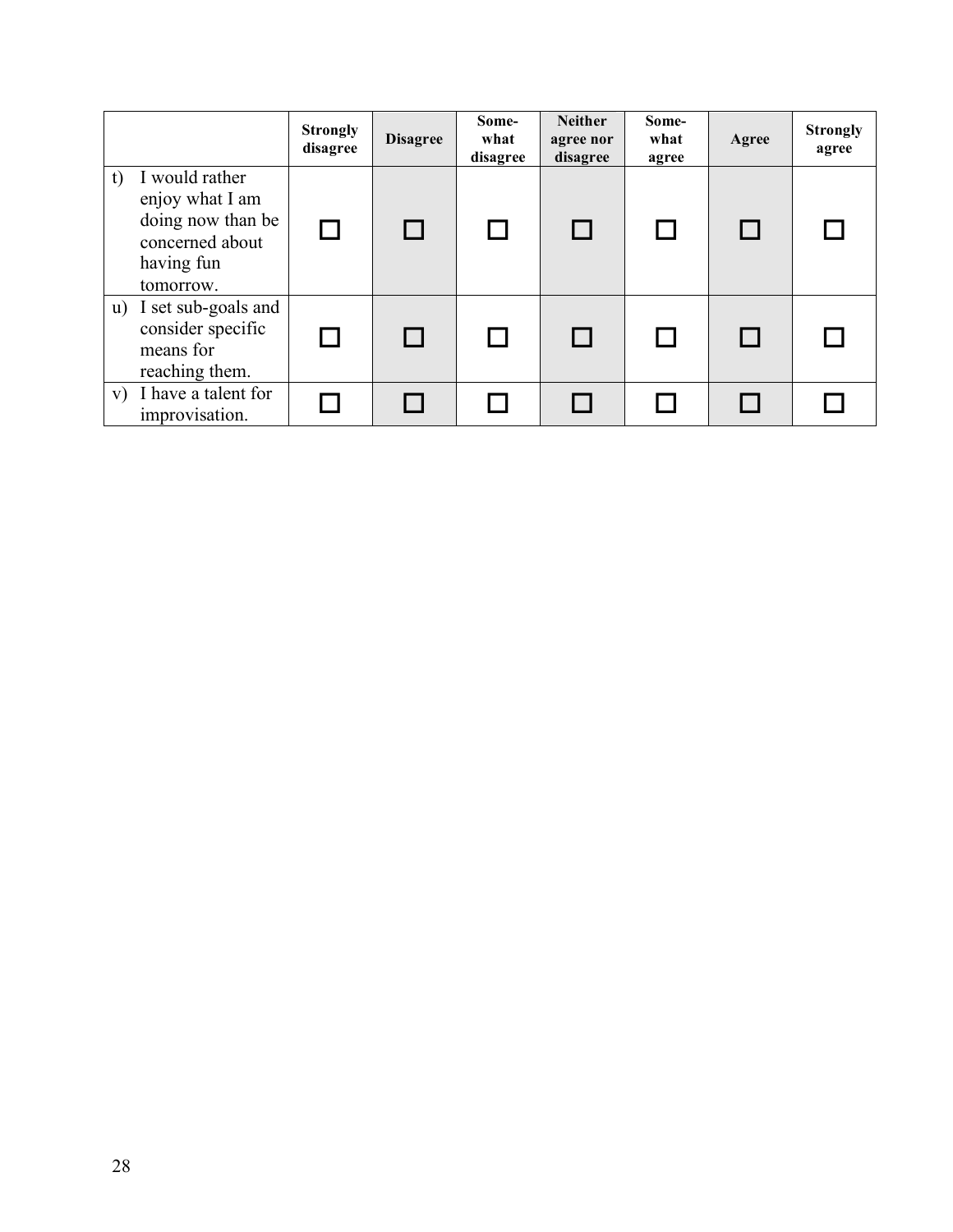|                |                                                                                                      | <b>Strongly</b><br>disagree | <b>Disagree</b> | Some-<br>what<br>disagree | <b>Neither</b><br>agree nor<br>disagree | Some-<br>what<br>agree | Agree        | <b>Strongly</b><br>agree |
|----------------|------------------------------------------------------------------------------------------------------|-----------------------------|-----------------|---------------------------|-----------------------------------------|------------------------|--------------|--------------------------|
| t)             | I would rather<br>enjoy what I am<br>doing now than be<br>concerned about<br>having fun<br>tomorrow. | l 1                         | l 1             | $\mathbf{I}$              | LΙ                                      | $\mathbf{I}$           | $\mathbf{I}$ |                          |
| $\mathbf{u}$ ) | I set sub-goals and<br>consider specific<br>means for<br>reaching them.                              | ப                           | l I             | $\mathbf{I}$              | ப                                       | H                      | $\mathbf{I}$ |                          |
| V)             | I have a talent for<br>improvisation.                                                                |                             |                 |                           |                                         |                        |              |                          |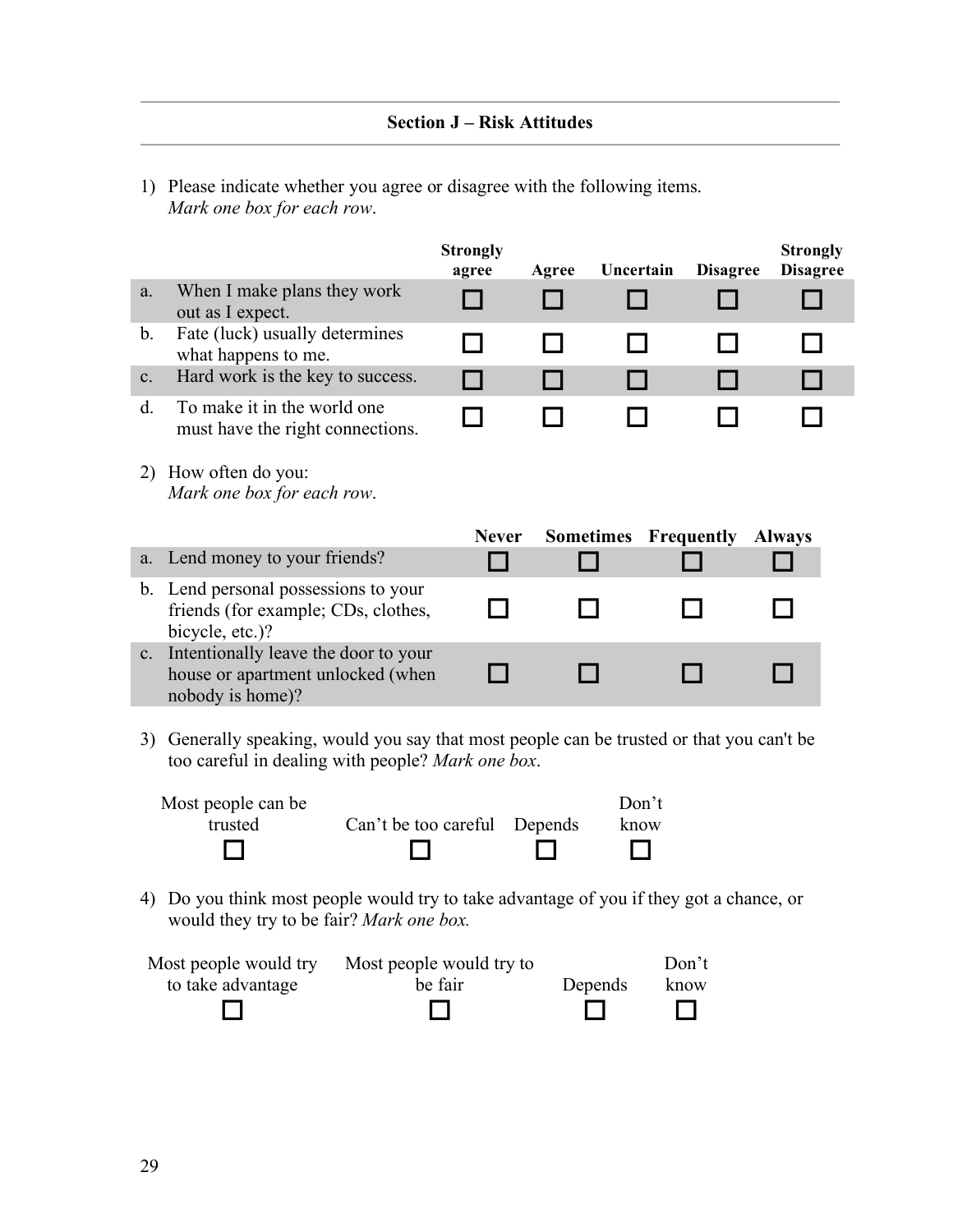1) Please indicate whether you agree or disagree with the following items. *Mark one box for each row*.

|                |                                                                                                                                                | <b>Strongly</b><br>agree            | Agree   | Uncertain                   | <b>Disagree</b> | <b>Strongly</b><br><b>Disagree</b> |
|----------------|------------------------------------------------------------------------------------------------------------------------------------------------|-------------------------------------|---------|-----------------------------|-----------------|------------------------------------|
| a.             | When I make plans they work<br>out as I expect.                                                                                                |                                     |         |                             | <b>Contract</b> |                                    |
| $\mathbf b$ .  | Fate (luck) usually determines<br>what happens to me.                                                                                          |                                     |         |                             |                 |                                    |
| $\mathbf{c}$ . | Hard work is the key to success.                                                                                                               |                                     |         |                             |                 |                                    |
| $d_{\cdot}$    | To make it in the world one<br>must have the right connections.                                                                                |                                     |         |                             |                 |                                    |
|                | 2) How often do you:<br>Mark one box for each row.                                                                                             |                                     |         |                             |                 |                                    |
|                |                                                                                                                                                | <b>Never</b>                        |         | <b>Sometimes Frequently</b> |                 | <b>Always</b>                      |
| a.             | Lend money to your friends?                                                                                                                    |                                     |         |                             |                 |                                    |
| b.             | Lend personal possessions to your<br>friends (for example; CDs, clothes,<br>bicycle, etc.)?                                                    |                                     |         |                             |                 |                                    |
| $c_{\cdot}$    | Intentionally leave the door to your<br>house or apartment unlocked (when<br>nobody is home)?                                                  |                                     |         |                             |                 |                                    |
|                | 3) Generally speaking, would you say that most people can be trusted or that you can't be<br>too careful in dealing with people? Mark one box. |                                     |         |                             |                 |                                    |
|                | Most people can be                                                                                                                             |                                     |         | Don't                       |                 |                                    |
|                | trusted<br>Can't be too careful                                                                                                                |                                     | Depends | know                        |                 |                                    |
|                |                                                                                                                                                |                                     |         |                             |                 |                                    |
|                | 4) Do you think most people would try to take advantage of you if they got a chance, or<br>would they try to be fair? Mark one box.            |                                     |         |                             |                 |                                    |
|                | Most people would try<br>to take advantage                                                                                                     | Most people would try to<br>be fair |         | Depends                     | Don't<br>know   |                                    |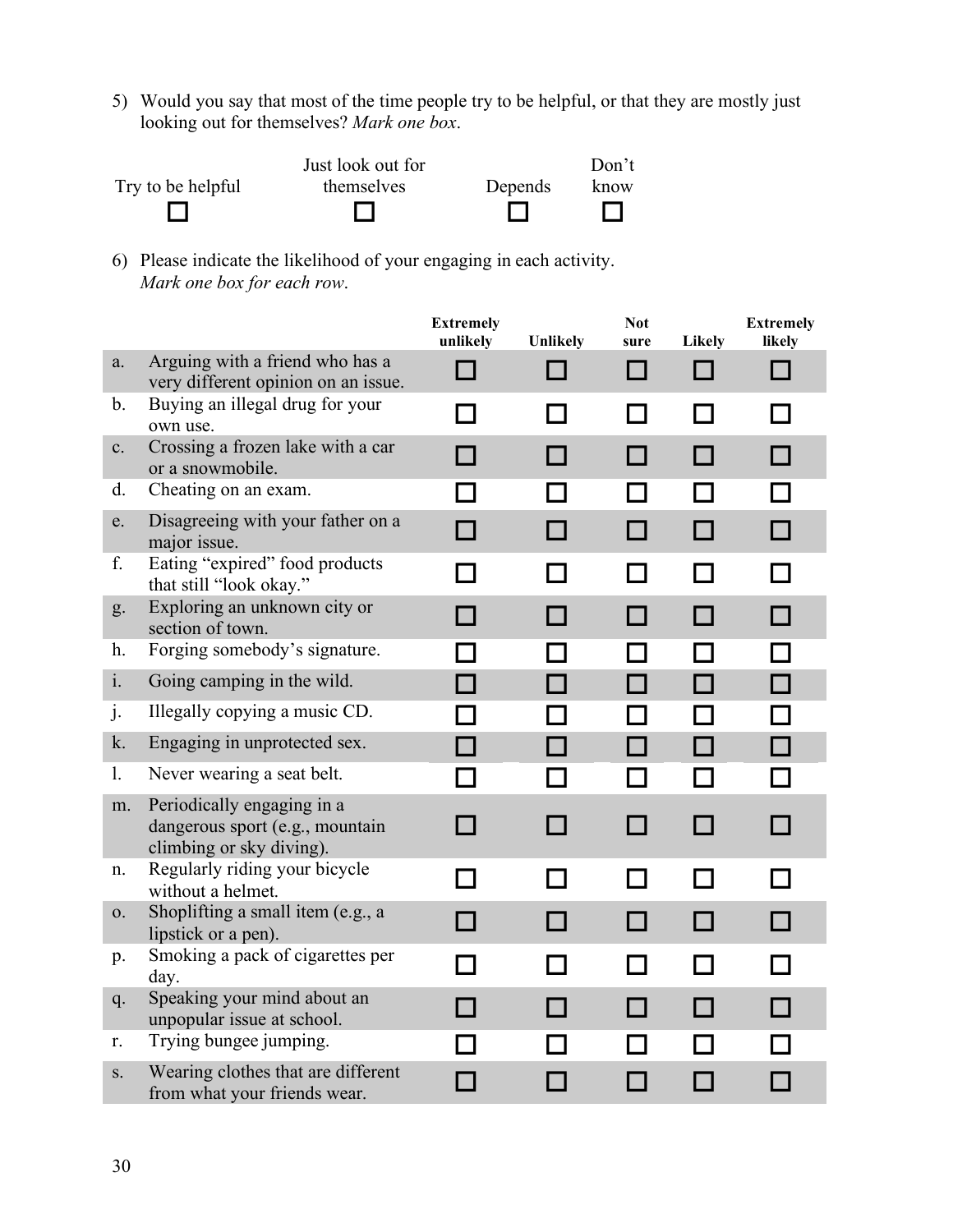5) Would you say that most of the time people try to be helpful, or that they are mostly just looking out for themselves? *Mark one box*.

|                   | Just look out for |         | Don't |
|-------------------|-------------------|---------|-------|
| Try to be helpful | themselves        | Depends | know  |
|                   |                   |         |       |

6) Please indicate the likelihood of your engaging in each activity. *Mark one box for each row*.

|                  |                                                                                           | <b>Extremely</b><br>unlikely | <b>Unlikely</b>          | <b>Not</b><br>sure | <b>Likely</b> | <b>Extremely</b><br>likely  |
|------------------|-------------------------------------------------------------------------------------------|------------------------------|--------------------------|--------------------|---------------|-----------------------------|
| a.               | Arguing with a friend who has a<br>very different opinion on an issue.                    |                              | <b>STEP</b>              | П                  | a s           | П                           |
| $\mathbf b$ .    | Buying an illegal drug for your<br>own use.                                               | П                            | $\mathbf{I}$             | $\Box$             | П             | П                           |
| $\mathbf{c}$ .   | Crossing a frozen lake with a car<br>or a snowmobile.                                     | П                            | □                        | □                  | П             | П                           |
| d.               | Cheating on an exam.                                                                      | $\overline{\phantom{0}}$     |                          | ┓                  | $\mathbf{r}$  | П                           |
| e.               | Disagreeing with your father on a<br>major issue.                                         | П                            | $\overline{\phantom{0}}$ | П                  | П             | П                           |
| f.               | Eating "expired" food products<br>that still "look okay."                                 |                              | $\mathcal{L}$            | $\Box$             | H             |                             |
| g.               | Exploring an unknown city or<br>section of town.                                          | П                            | П                        | П                  | П             | П                           |
| h.               | Forging somebody's signature.                                                             |                              |                          | $\Box$             | n di          |                             |
| $\mathbf{i}$ .   | Going camping in the wild.                                                                | П                            | $\Box$                   | П                  | П             | П                           |
| j.               | Illegally copying a music CD.                                                             | I.                           | $\blacksquare$           | $\Box$             | П             | П                           |
| k.               | Engaging in unprotected sex.                                                              | П                            | $\Box$                   | $\Box$             | П             | П                           |
| $\mathbf{1}$ .   | Never wearing a seat belt.                                                                | $\mathcal{L}$                | $\Box$                   | □                  | П             | П                           |
| m.               | Periodically engaging in a<br>dangerous sport (e.g., mountain<br>climbing or sky diving). | a s                          | П                        | П                  | П             | П                           |
| n.               | Regularly riding your bicycle<br>without a helmet.                                        | П                            | ┓                        | $\Box$             | П             | □                           |
| $\overline{0}$ . | Shoplifting a small item (e.g., a<br>lipstick or a pen).                                  | П                            | $\blacksquare$           | П                  | П             | П                           |
| p.               | Smoking a pack of cigarettes per<br>day.                                                  | $\Box$                       | $\sim$                   | $\Box$             | H             | $\mathcal{L}_{\mathcal{A}}$ |
| q.               | Speaking your mind about an<br>unpopular issue at school.                                 | ┓                            | $\Box$                   | ┓                  | П             | П                           |
| r.               | Trying bungee jumping.                                                                    |                              |                          |                    |               |                             |
| S.               | Wearing clothes that are different<br>from what your friends wear.                        |                              | ×.                       | J.                 | a l           | a l                         |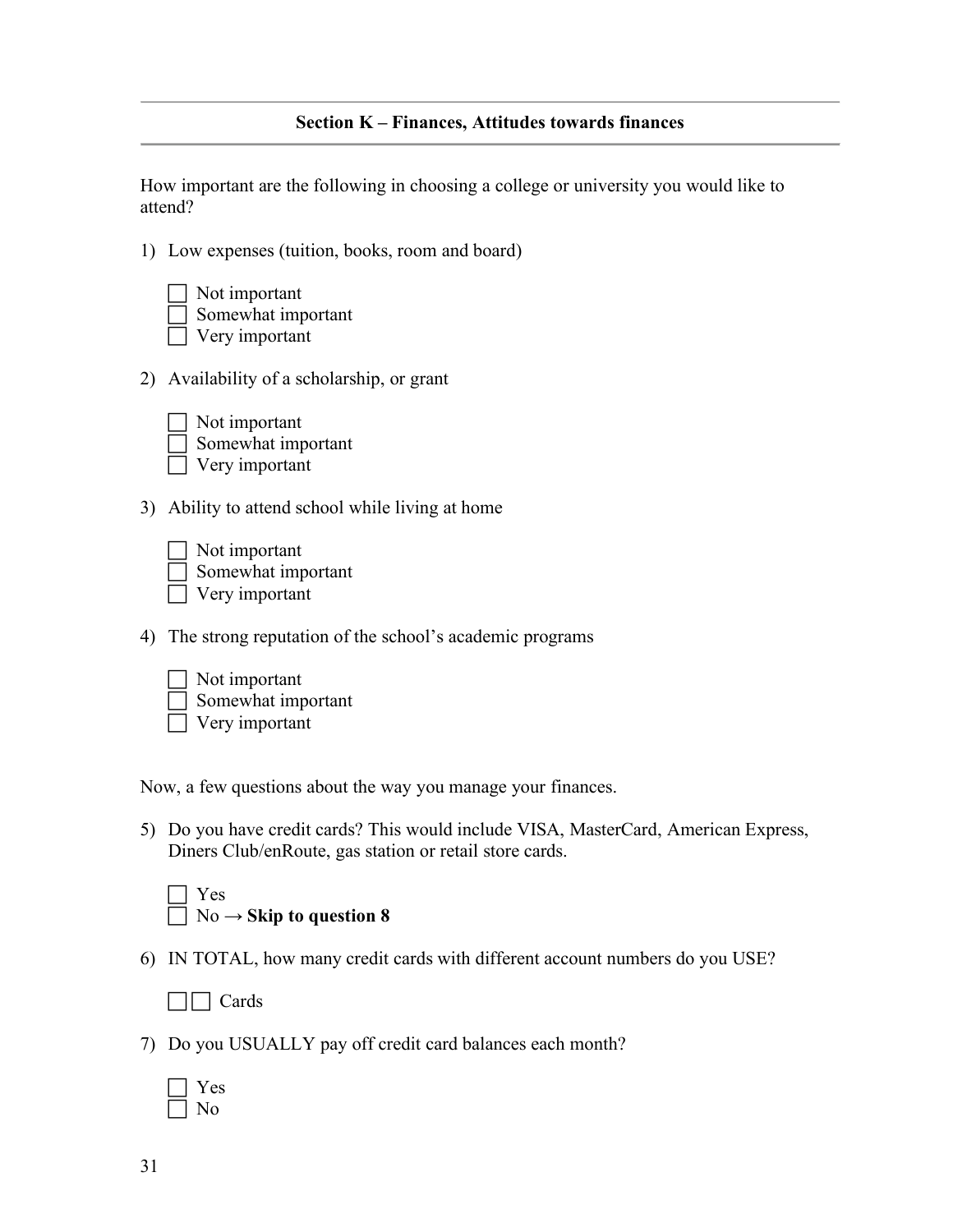#### **Section K – Finances, Attitudes towards finances**

|    | How important are the following in choosing a college or university you would like to<br>attend?                                               |
|----|------------------------------------------------------------------------------------------------------------------------------------------------|
|    | 1) Low expenses (tuition, books, room and board)                                                                                               |
|    | Not important<br>Somewhat important<br>Very important                                                                                          |
|    | 2) Availability of a scholarship, or grant                                                                                                     |
|    | Not important<br>Somewhat important<br>Very important                                                                                          |
|    | 3) Ability to attend school while living at home                                                                                               |
|    | Not important<br>Somewhat important<br>Very important                                                                                          |
| 4) | The strong reputation of the school's academic programs                                                                                        |
|    | Not important<br>Somewhat important<br>Very important                                                                                          |
|    | Now, a few questions about the way you manage your finances.                                                                                   |
|    | 5) Do you have credit cards? This would include VISA, MasterCard, American Express,<br>Diners Club/enRoute, gas station or retail store cards. |
|    | Yes                                                                                                                                            |

No **→ Skip to question 8**

6) IN TOTAL, how many credit cards with different account numbers do you USE?

**Cards** 

7) Do you USUALLY pay off credit card balances each month?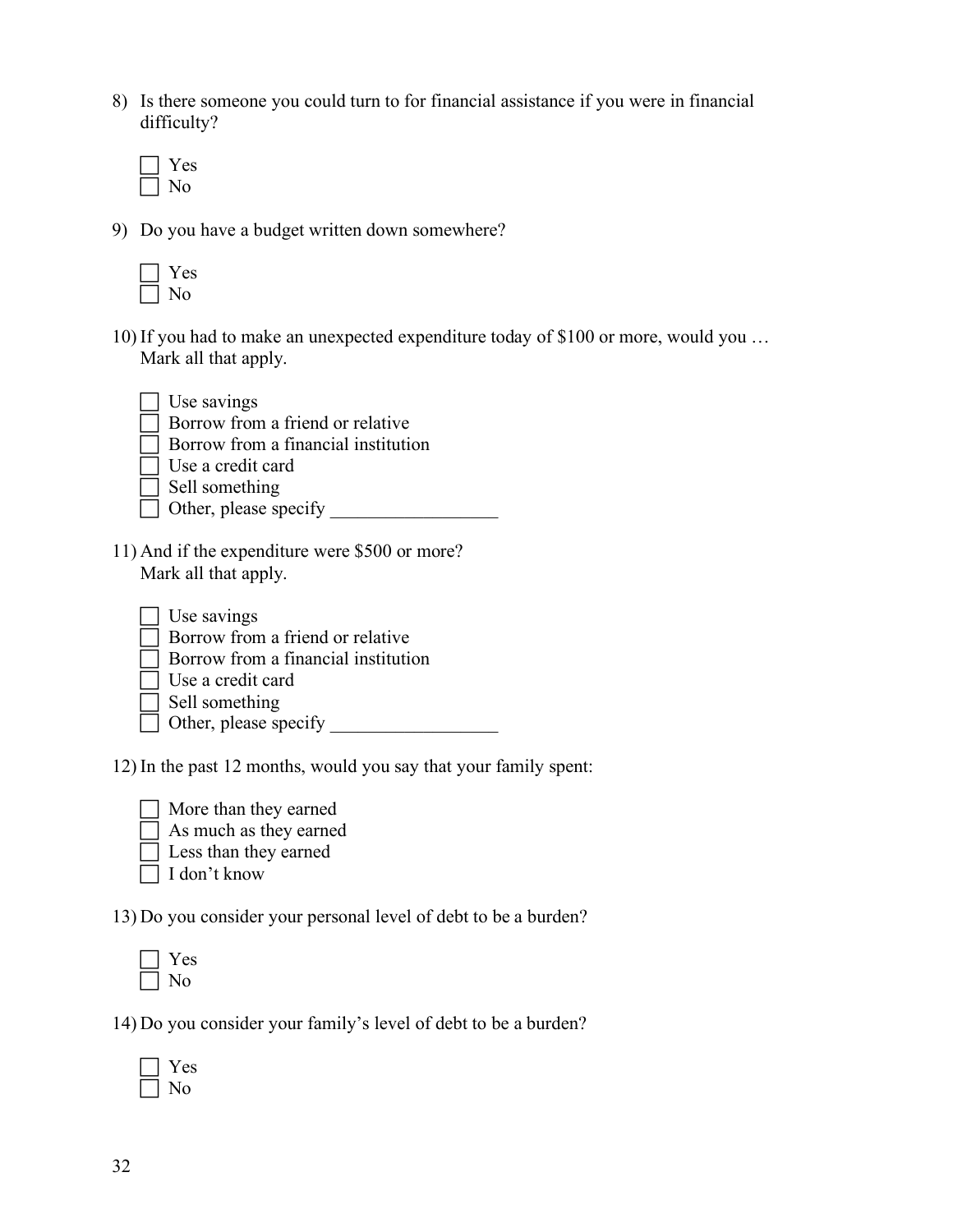- 8) Is there someone you could turn to for financial assistance if you were in financial difficulty?
	- Yes  $\exists$  No
- 9) Do you have a budget written down somewhere?

10) If you had to make an unexpected expenditure today of \$100 or more, would you … Mark all that apply.



11) And if the expenditure were \$500 or more? Mark all that apply.

| $\Box$ Use savings                      |  |  |  |
|-----------------------------------------|--|--|--|
| <b>Borrow</b> from a friend or relative |  |  |  |
|                                         |  |  |  |

- Borrow from a financial institution
- Use a credit card
- $\Box$  Sell something
- $\Box$  Other, please specify

12) In the past 12 months, would you say that your family spent:

|  |  |  |  | More than they earned |
|--|--|--|--|-----------------------|
|--|--|--|--|-----------------------|

As much as they earned

- Less than they earned
- I don't know

13) Do you consider your personal level of debt to be a burden?

14) Do you consider your family's level of debt to be a burden?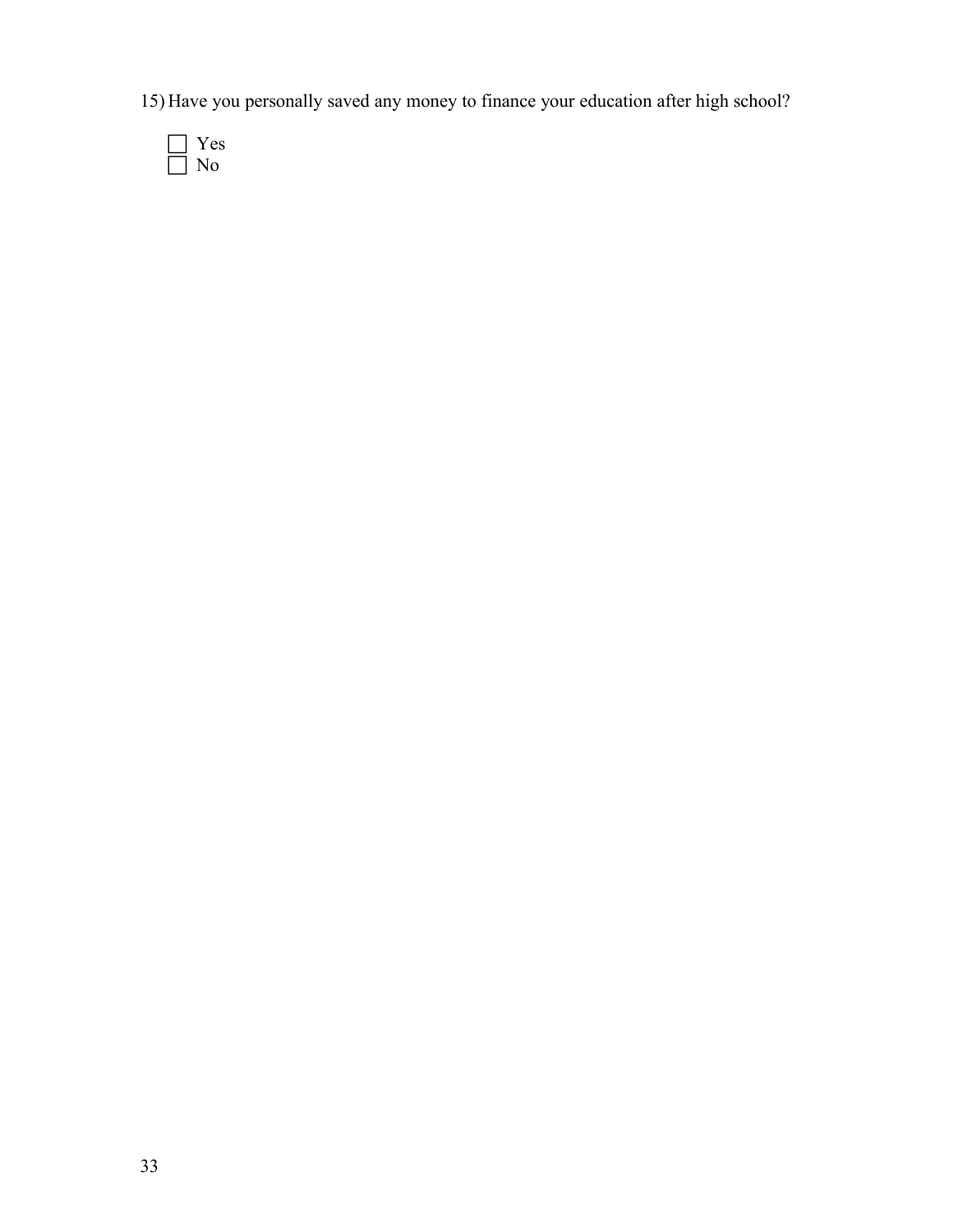15) Have you personally saved any money to finance your education after high school?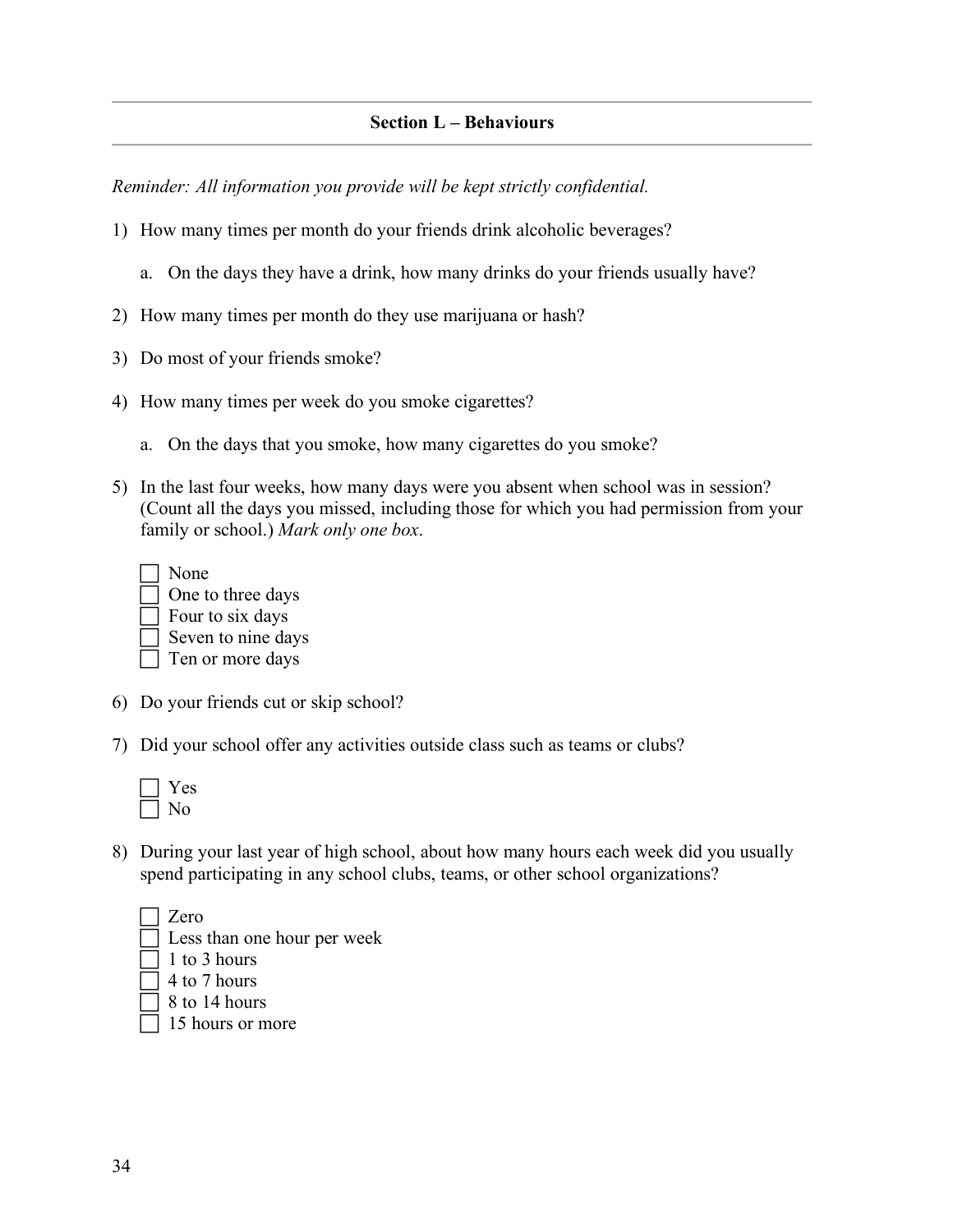*Reminder: All information you provide will be kept strictly confidential.*

- 1) How many times per month do your friends drink alcoholic beverages?
	- a. On the days they have a drink, how many drinks do your friends usually have?
- 2) How many times per month do they use marijuana or hash?
- 3) Do most of your friends smoke?
- 4) How many times per week do you smoke cigarettes?
	- a. On the days that you smoke, how many cigarettes do you smoke?
- 5) In the last four weeks, how many days were you absent when school was in session? (Count all the days you missed, including those for which you had permission from your family or school.) *Mark only one box*.

| None               |
|--------------------|
| One to three days  |
| Four to six days   |
| Seven to nine days |
| Ten or more days   |

- 6) Do your friends cut or skip school?
- 7) Did your school offer any activities outside class such as teams or clubs?

8) During your last year of high school, about how many hours each week did you usually spend participating in any school clubs, teams, or other school organizations?

| Zero                        |
|-----------------------------|
| Less than one hour per week |
| 1 to 3 hours                |
| 4 to 7 hours                |
| 8 to 14 hours               |
| 15 hours or more            |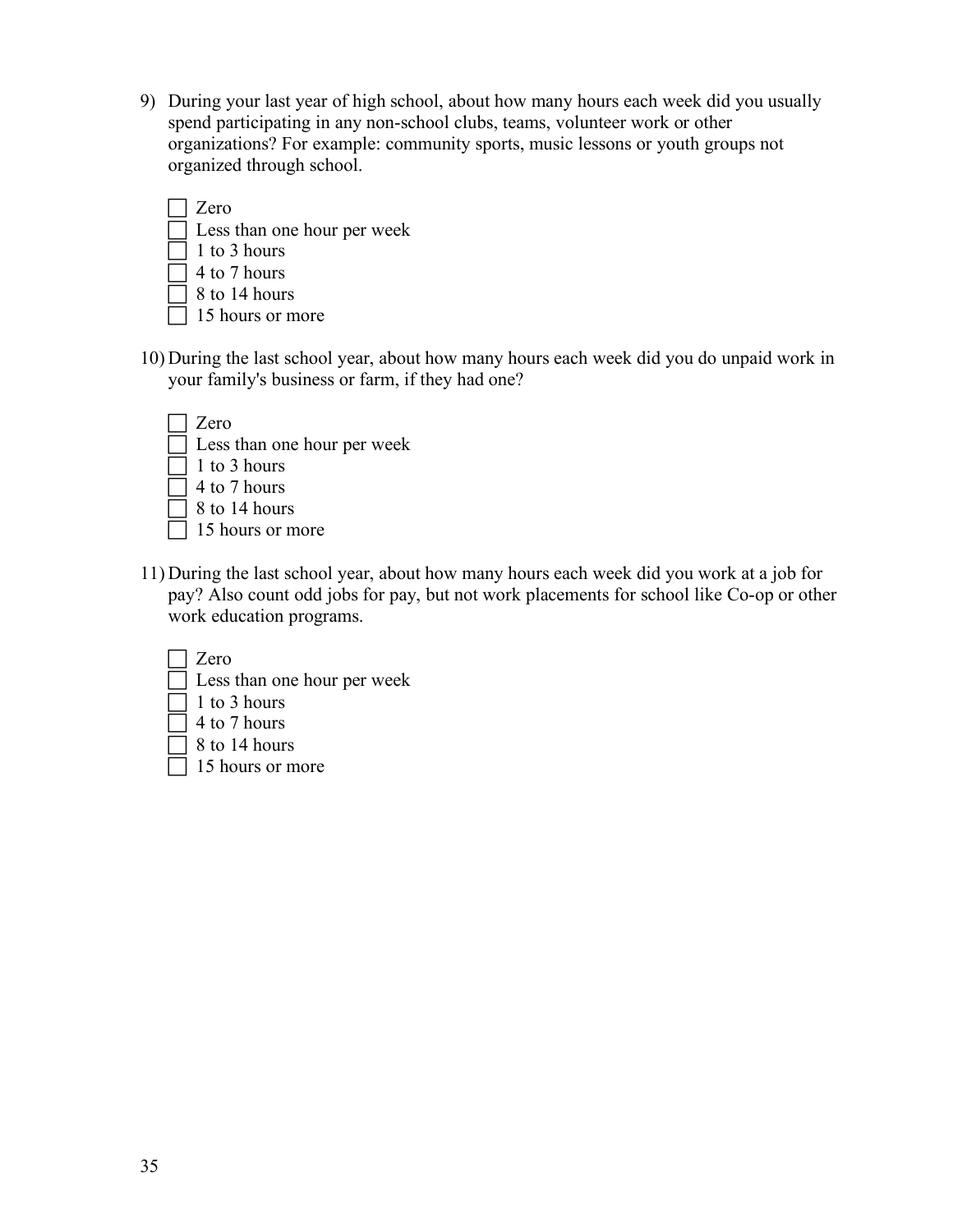9) During your last year of high school, about how many hours each week did you usually spend participating in any non-school clubs, teams, volunteer work or other organizations? For example: community sports, music lessons or youth groups not organized through school.



10) During the last school year, about how many hours each week did you do unpaid work in your family's business or farm, if they had one?



11) During the last school year, about how many hours each week did you work at a job for pay? Also count odd jobs for pay, but not work placements for school like Co-op or other work education programs.



15 hours or more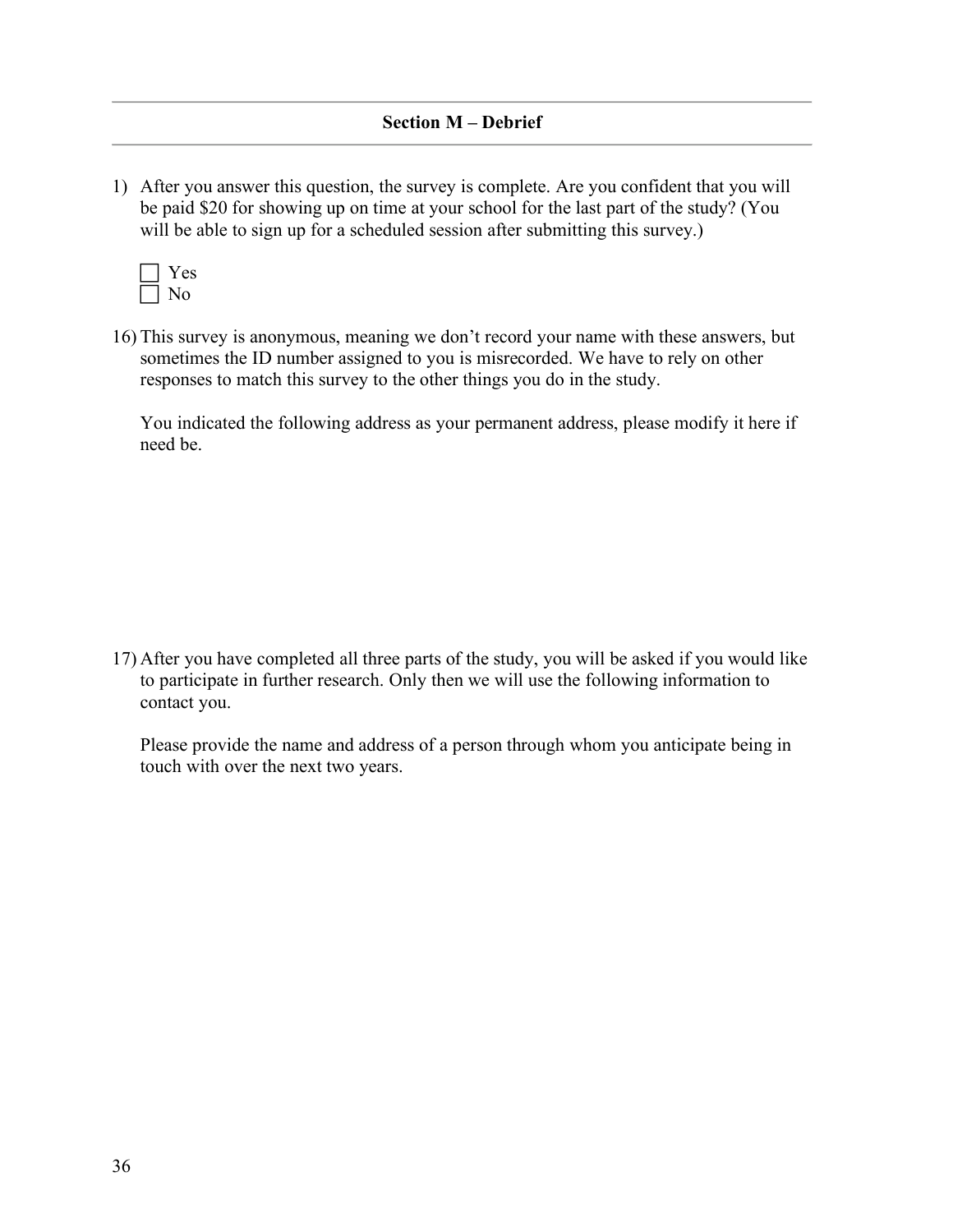1) After you answer this question, the survey is complete. Are you confident that you will be paid \$20 for showing up on time at your school for the last part of the study? (You will be able to sign up for a scheduled session after submitting this survey.)



16) This survey is anonymous, meaning we don't record your name with these answers, but sometimes the ID number assigned to you is misrecorded. We have to rely on other responses to match this survey to the other things you do in the study.

You indicated the following address as your permanent address, please modify it here if need be.

17) After you have completed all three parts of the study, you will be asked if you would like to participate in further research. Only then we will use the following information to contact you.

Please provide the name and address of a person through whom you anticipate being in touch with over the next two years.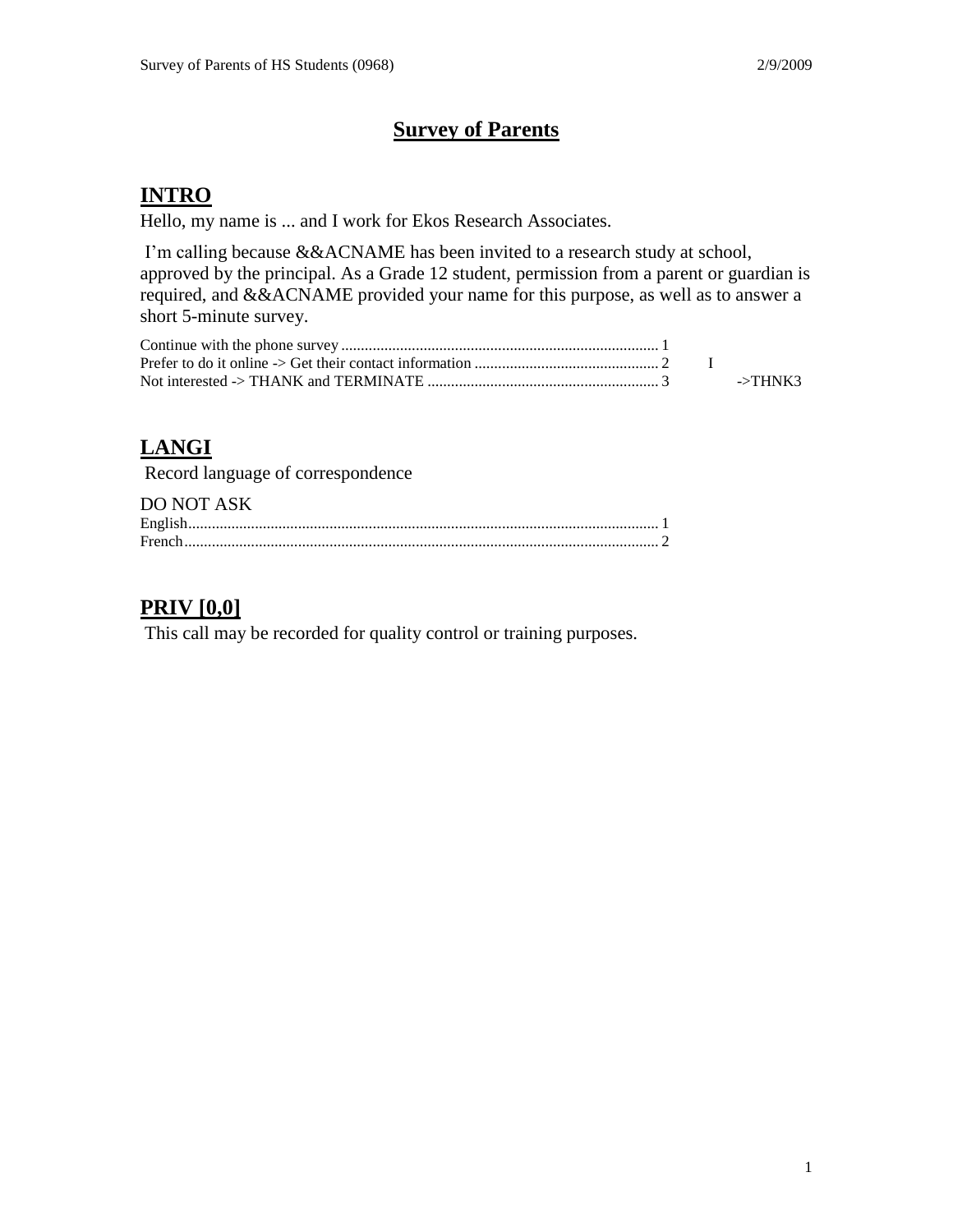#### **Survey of Parents**

#### **INTRO**

Hello, my name is ... and I work for Ekos Research Associates.

I'm calling because &&ACNAME has been invited to a research study at school, approved by the principal. As a Grade 12 student, permission from a parent or guardian is required, and &&ACNAME provided your name for this purpose, as well as to answer a short 5-minute survey.

## **LANGI**

Record language of correspondence

| <b>DO NOT ASK</b> |  |
|-------------------|--|
|                   |  |
| French            |  |

### **PRIV [0,0]**

This call may be recorded for quality control or training purposes.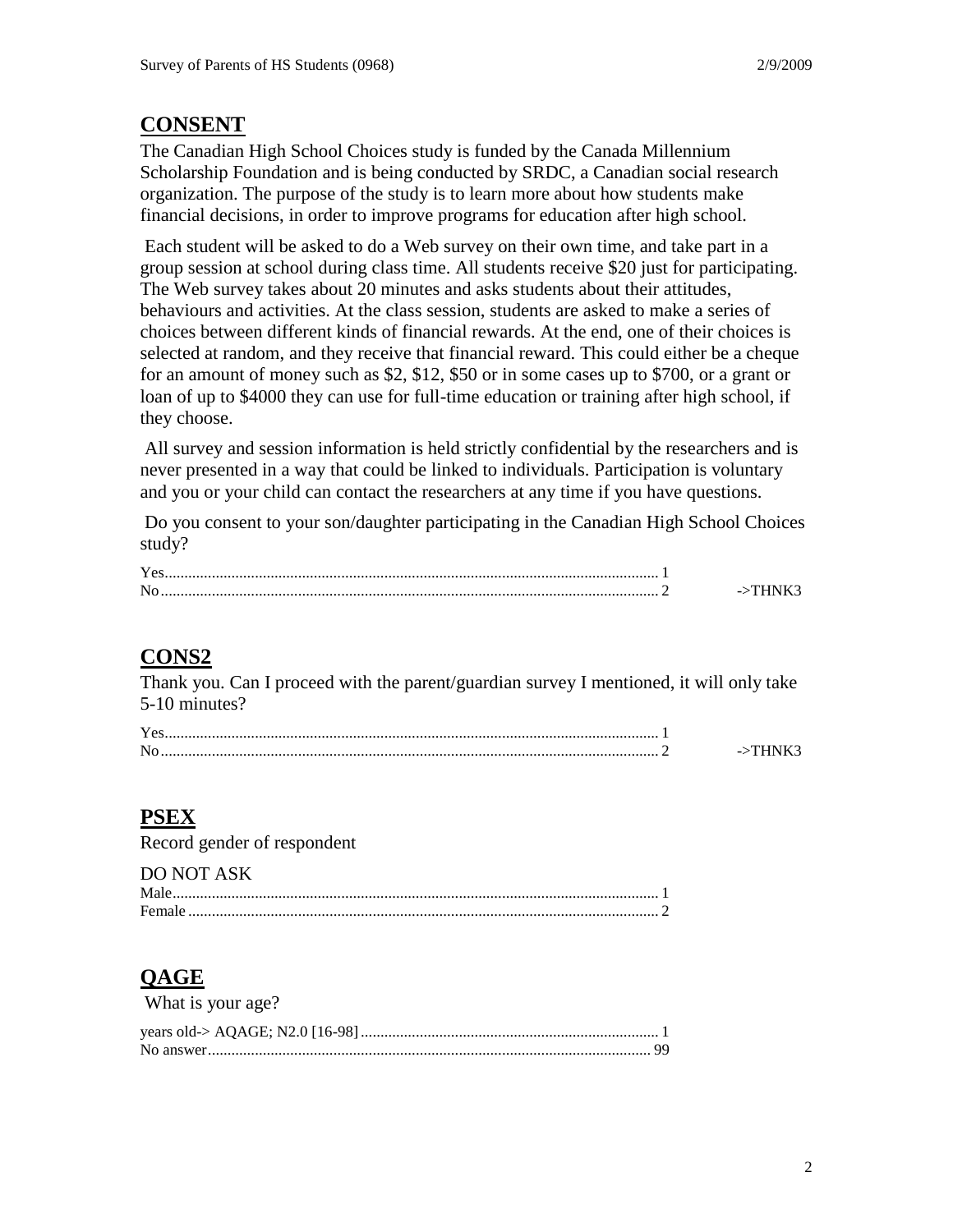#### **CONSENT**

The Canadian High School Choices study is funded by the Canada Millennium Scholarship Foundation and is being conducted by SRDC, a Canadian social research organization. The purpose of the study is to learn more about how students make financial decisions, in order to improve programs for education after high school.

Each student will be asked to do a Web survey on their own time, and take part in a group session at school during class time. All students receive \$20 just for participating. The Web survey takes about 20 minutes and asks students about their attitudes, behaviours and activities. At the class session, students are asked to make a series of choices between different kinds of financial rewards. At the end, one of their choices is selected at random, and they receive that financial reward. This could either be a cheque for an amount of money such as \$2, \$12, \$50 or in some cases up to \$700, or a grant or loan of up to \$4000 they can use for full-time education or training after high school, if they choose.

All survey and session information is held strictly confidential by the researchers and is never presented in a way that could be linked to individuals. Participation is voluntary and you or your child can contact the researchers at any time if you have questions.

Do you consent to your son/daughter participating in the Canadian High School Choices study?

| Me |  |
|----|--|

### **CONS2**

Thank you. Can I proceed with the parent/guardian survey I mentioned, it will only take 5-10 minutes?

## **PSEX**

| Record gender of respondent |  |
|-----------------------------|--|
| DO NOT ASK                  |  |
|                             |  |
|                             |  |

### **QAGE**

| What is your age? |  |
|-------------------|--|
|                   |  |
|                   |  |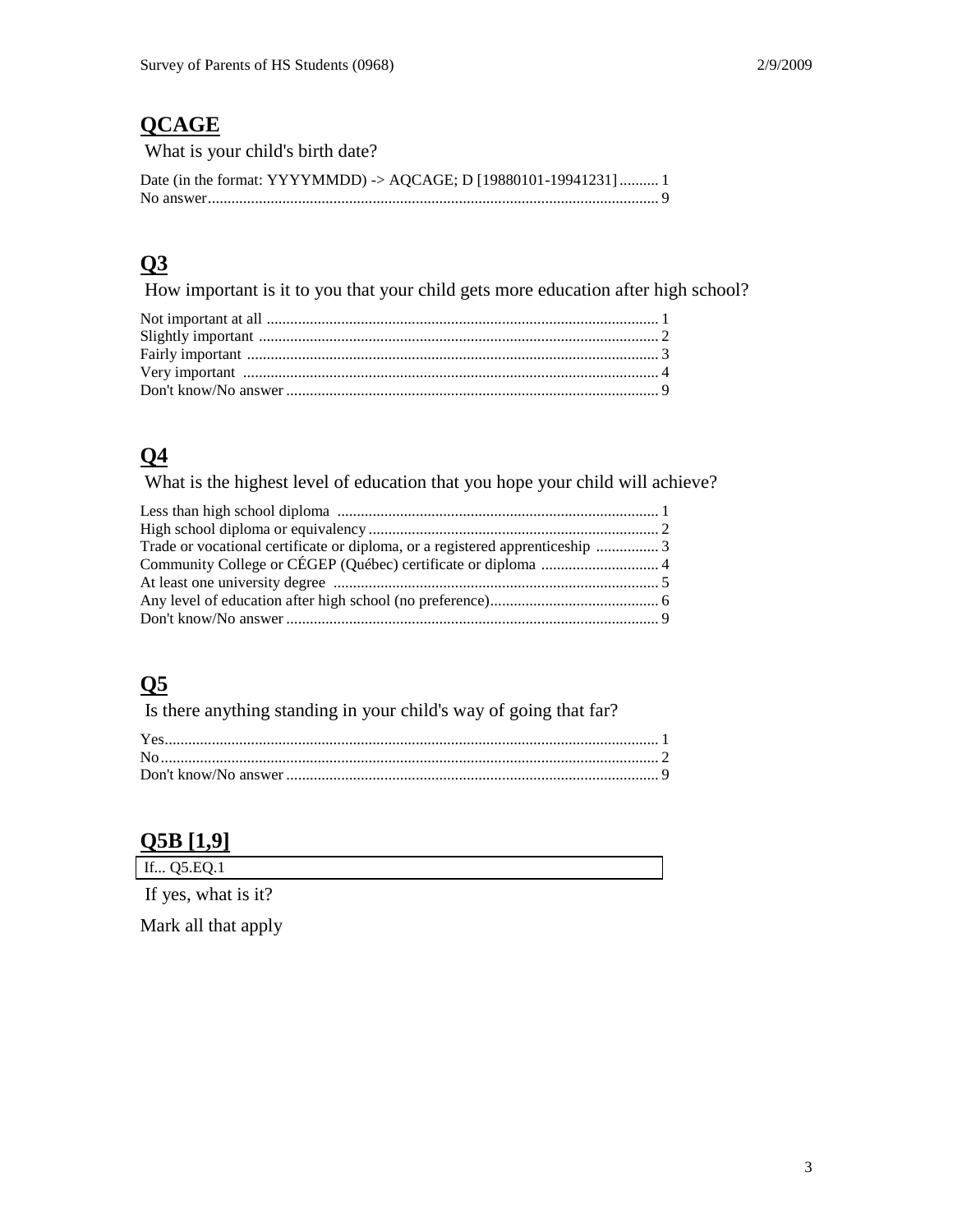## **QCAGE**

What is your child's birth date?

| Date (in the format: YYYYMMDD) -> AQCAGE; D [19880101-19941231]  1 |  |
|--------------------------------------------------------------------|--|
|                                                                    |  |

## **Q3**

How important is it to you that your child gets more education after high school?

# **Q4**

What is the highest level of education that you hope your child will achieve?

# **Q5**

Is there anything standing in your child's way of going that far?

| N <sub>0</sub> |  |
|----------------|--|
|                |  |

### **Q5B [1,9]**

If... Q5.EQ.1

If yes, what is it?

Mark all that apply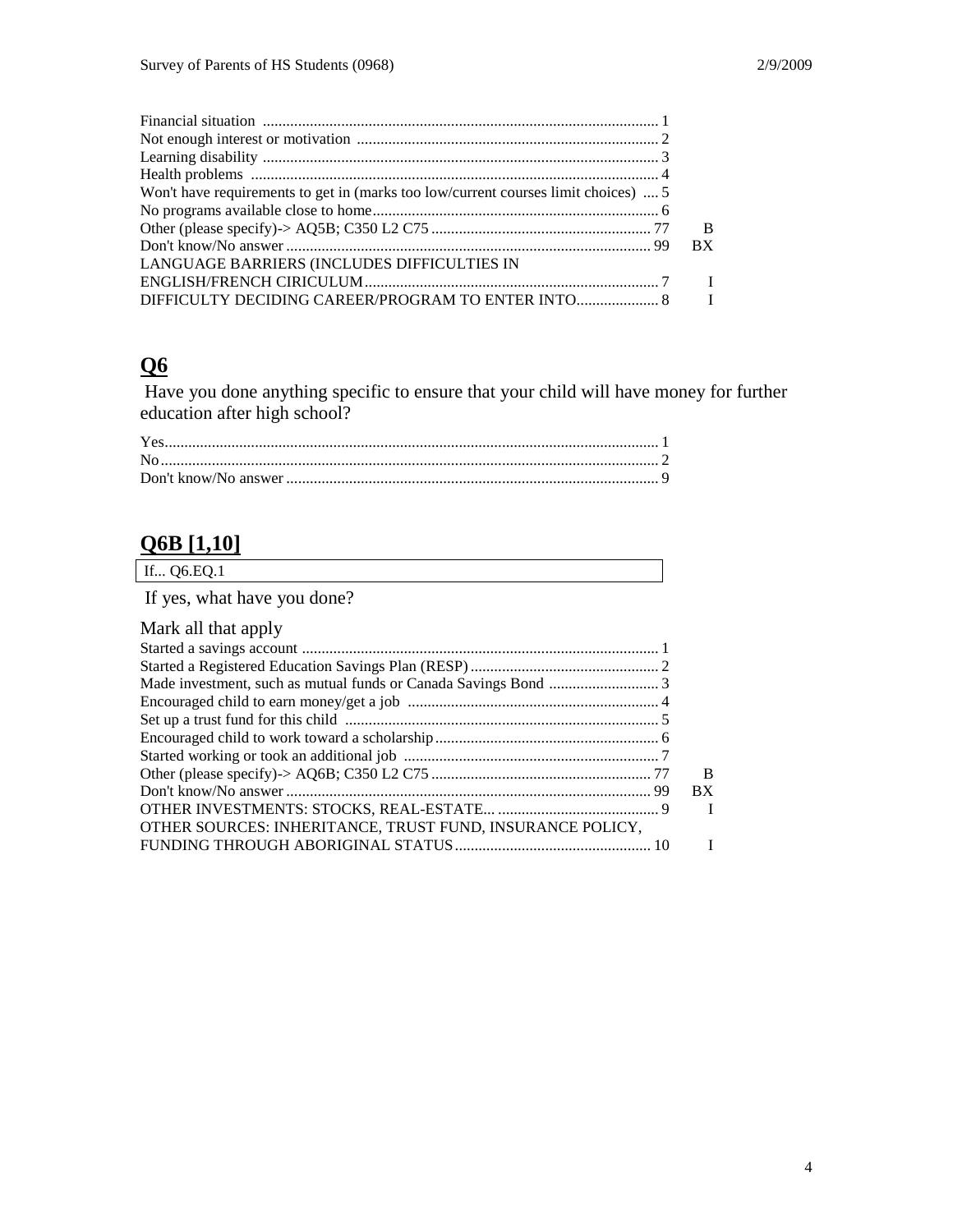| Won't have requirements to get in (marks too low/current courses limit choices)  5 |                |  |
|------------------------------------------------------------------------------------|----------------|--|
|                                                                                    |                |  |
|                                                                                    | $\overline{B}$ |  |
|                                                                                    |                |  |
| LANGUAGE BARRIERS (INCLUDES DIFFICULTIES IN                                        |                |  |
|                                                                                    |                |  |
|                                                                                    |                |  |

# **Q6**

Have you done anything specific to ensure that your child will have money for further education after high school?

| Yes. 1 |  |
|--------|--|
|        |  |
|        |  |

## **Q6B [1,10]**

| If Q6.EQ.1 |
|------------|
|------------|

If yes, what have you done?

| Mark all that apply                                       |      |  |
|-----------------------------------------------------------|------|--|
|                                                           |      |  |
|                                                           |      |  |
|                                                           |      |  |
|                                                           |      |  |
|                                                           |      |  |
|                                                           |      |  |
|                                                           |      |  |
|                                                           | – B  |  |
|                                                           | - BX |  |
|                                                           |      |  |
| OTHER SOURCES: INHERITANCE, TRUST FUND, INSURANCE POLICY, |      |  |
|                                                           |      |  |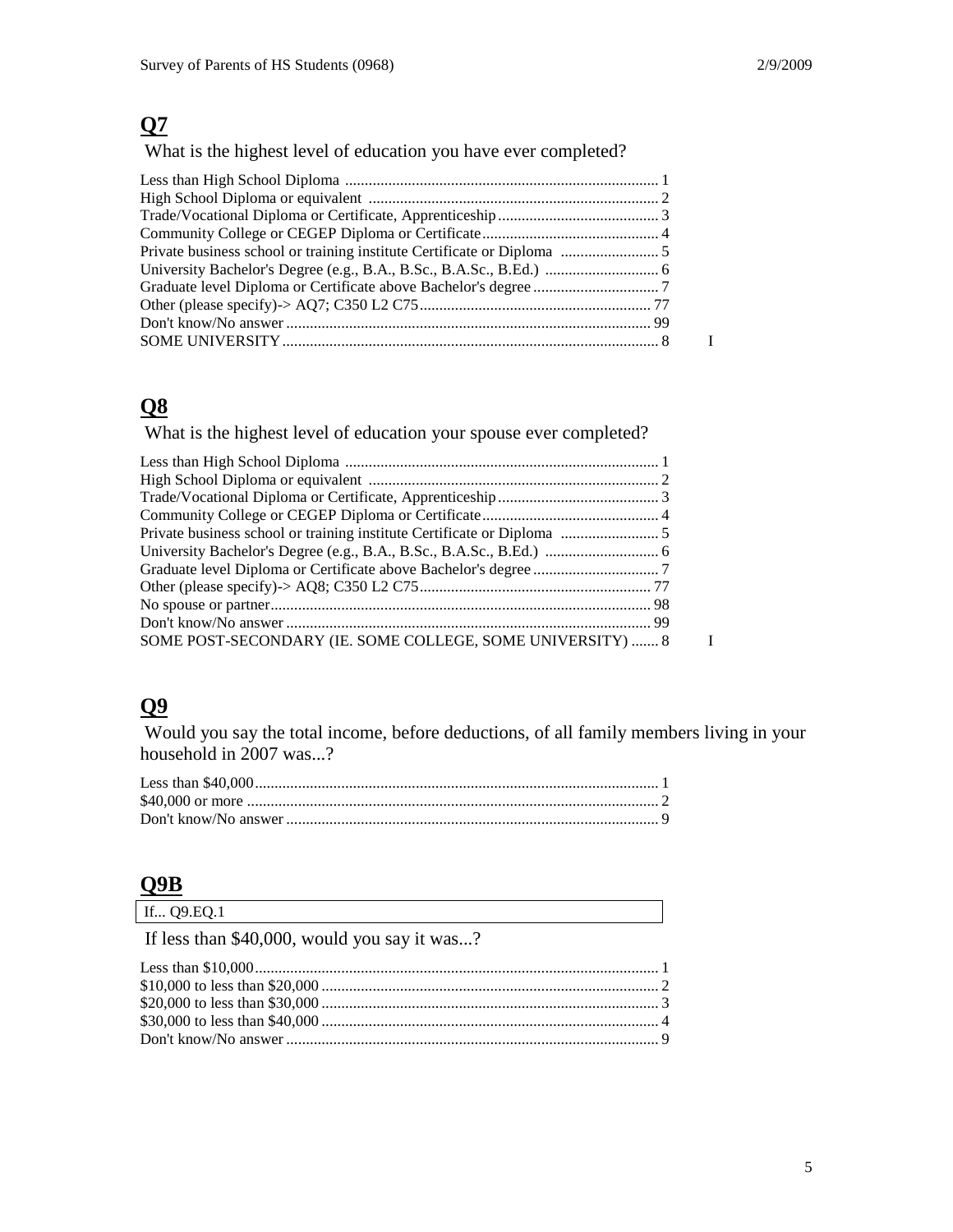### **Q7**

What is the highest level of education you have ever completed?

### **Q8**

What is the highest level of education your spouse ever completed?

| SOME POST-SECONDARY (IE. SOME COLLEGE, SOME UNIVERSITY)  8 |
|------------------------------------------------------------|

## **Q9**

Would you say the total income, before deductions, of all family members living in your household in 2007 was...?

#### **Q9B**

If less than \$40,000, would you say it was...?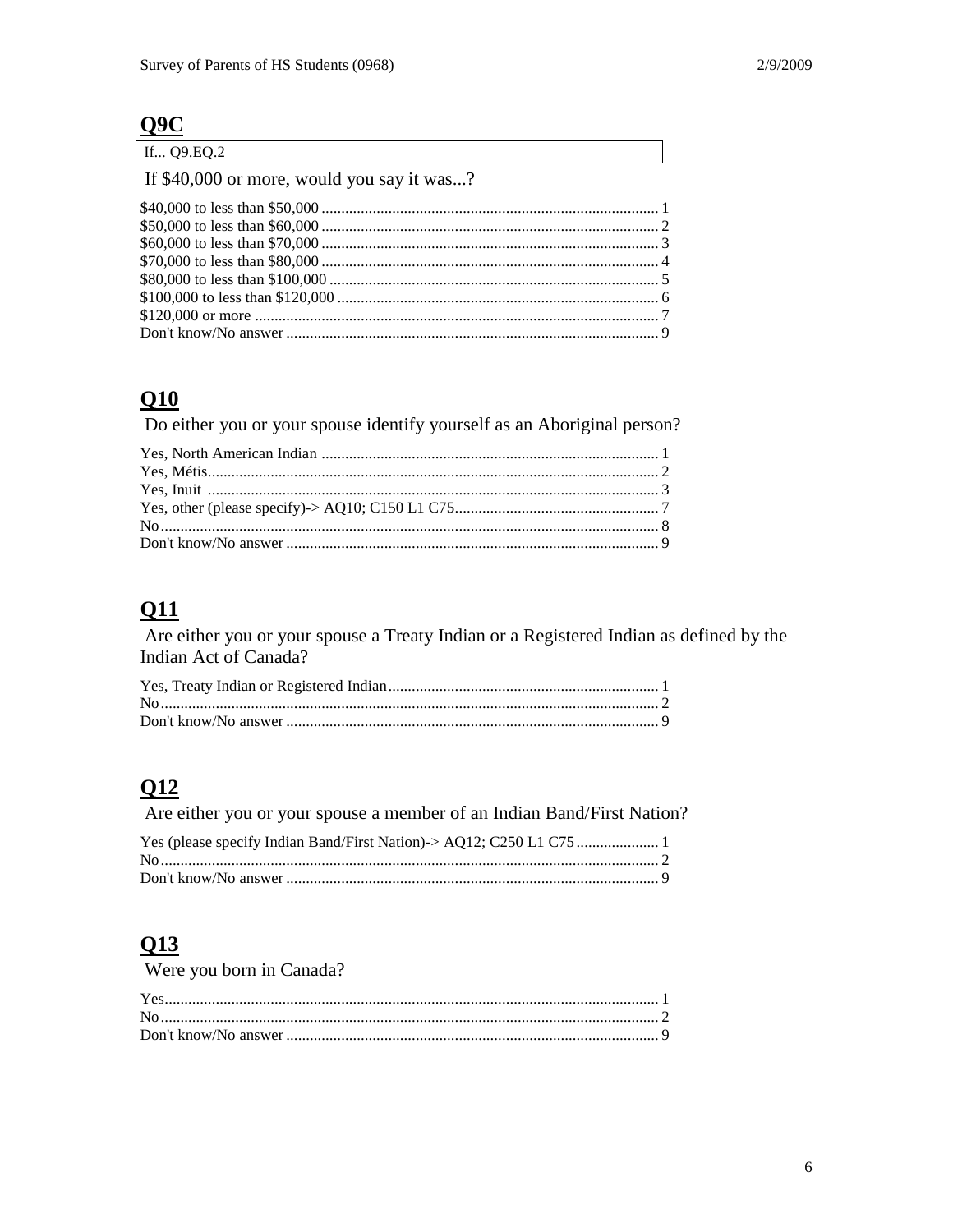#### $Q9C$

| If Q9.EQ.2                                                                 |  |
|----------------------------------------------------------------------------|--|
| If \$40,000 or more, would you say it was?                                 |  |
|                                                                            |  |
|                                                                            |  |
|                                                                            |  |
|                                                                            |  |
| $\frac{1}{2}$ 000 to less than $\frac{100}{200}$ 000 000 000 $\frac{5}{2}$ |  |

## $Q10$

Do either you or your spouse identify yourself as an Aboriginal person?

# $Q11$

Are either you or your spouse a Treaty Indian or a Registered Indian as defined by the Indian Act of Canada?

# $Q12$

Are either you or your spouse a member of an Indian Band/First Nation?

## $Q13$

Were you born in Canada?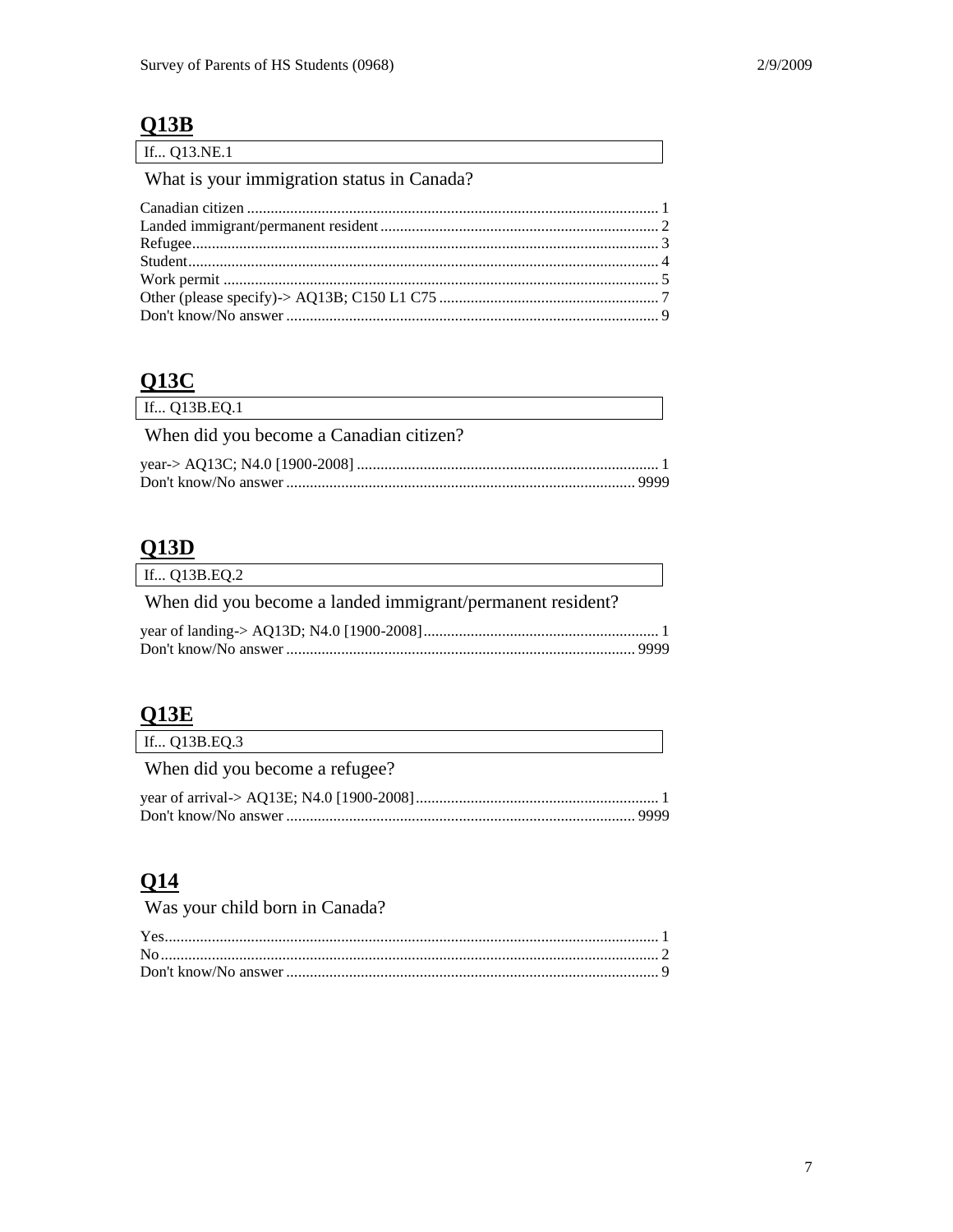## $Q13B$

| If Q13.NE.1                                |  |
|--------------------------------------------|--|
| What is your immigration status in Canada? |  |
|                                            |  |
|                                            |  |
|                                            |  |
|                                            |  |
|                                            |  |
|                                            |  |
|                                            |  |

## **Q13C**

| If 013B.EO.1                            |  |
|-----------------------------------------|--|
| When did you become a Canadian citizen? |  |
|                                         |  |
|                                         |  |

## $Q13D$

| If Q13B.EQ.2                                               |  |
|------------------------------------------------------------|--|
| When did you become a landed immigrant/permanent resident? |  |
|                                                            |  |
|                                                            |  |

# $Q13E$

| If 013B.EO.3                   |  |
|--------------------------------|--|
| When did you become a refugee? |  |
|                                |  |
|                                |  |

## $Q14$

Was your child born in Canada?

٦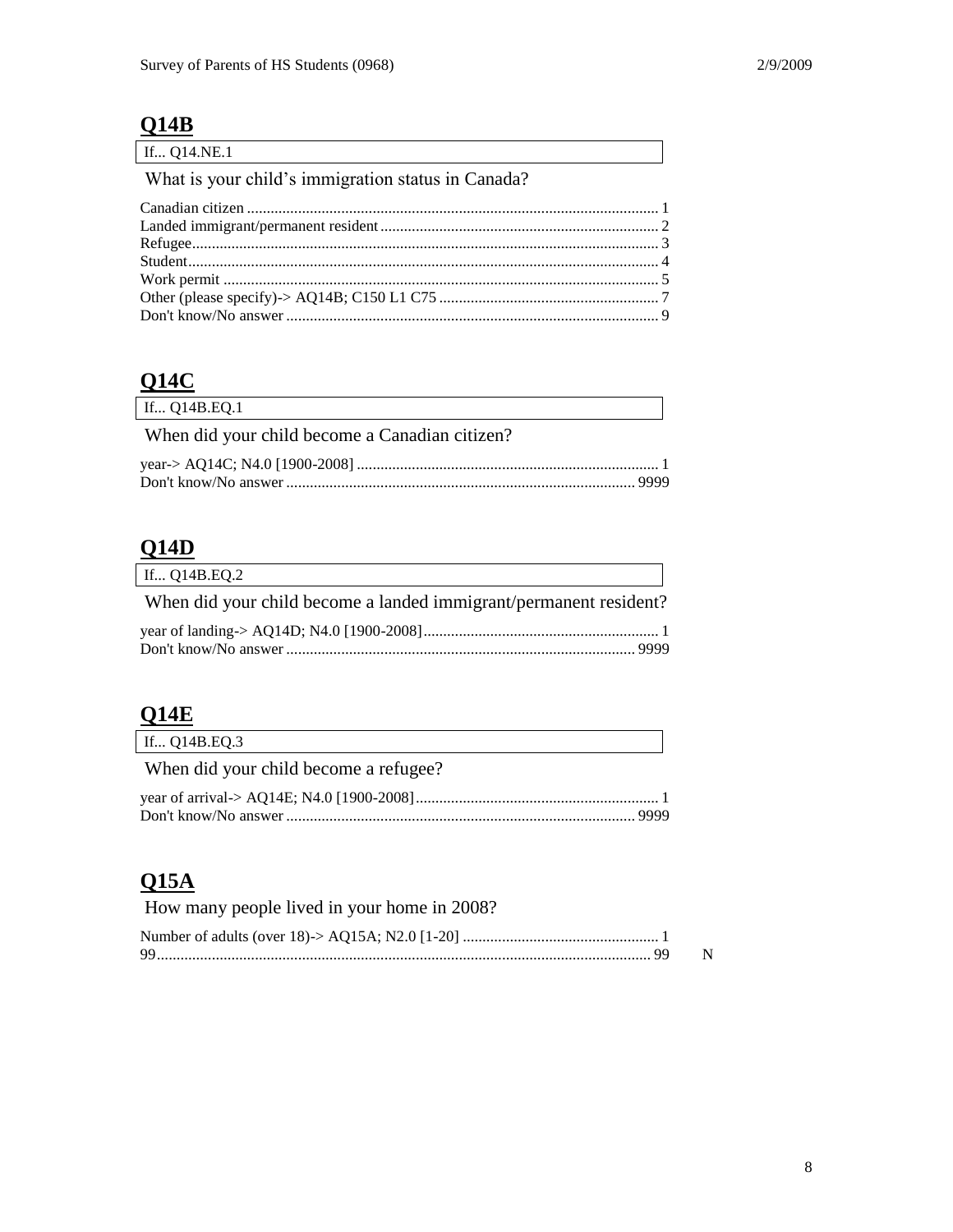## $Q14B$

| If Q14.NE.1                                        |  |
|----------------------------------------------------|--|
| What is your child's immigration status in Canada? |  |
|                                                    |  |
|                                                    |  |
|                                                    |  |
|                                                    |  |
|                                                    |  |
|                                                    |  |
|                                                    |  |
|                                                    |  |

## **Q14C**

| If 014B.EO.1                                   |  |
|------------------------------------------------|--|
| When did your child become a Canadian citizen? |  |
|                                                |  |
|                                                |  |

## $Q14D$

| If Q14B.EQ.2                                                      |  |
|-------------------------------------------------------------------|--|
| When did your child become a landed immigrant/permanent resident? |  |
|                                                                   |  |

## $Q14E$

| If Q14B.EQ.3                          |  |
|---------------------------------------|--|
| When did your child become a refugee? |  |
|                                       |  |
|                                       |  |

## $Q15A$

How many people lived in your home in 2008?

| QQ |  |
|----|--|